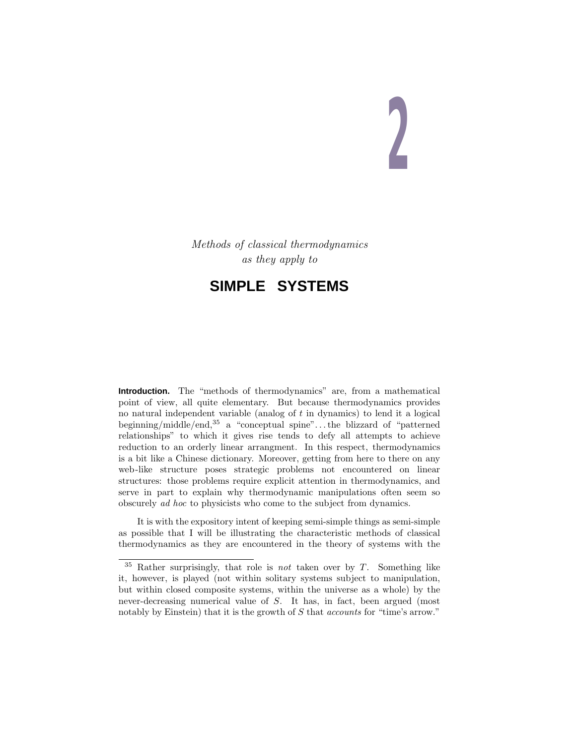# **2**

Methods of classical thermodynamics as they apply to

# **SIMPLE SYSTEMS**

**Introduction.** The "methods of thermodynamics" are, from a mathematical point of view, all quite elementary. But because thermodynamics provides no natural independent variable (analog of *t* in dynamics) to lend it a logical beginning/middle/end,<sup>35</sup> a "conceptual spine"*...*the blizzard of "patterned relationships" to which it gives rise tends to defy all attempts to achieve reduction to an orderly linear arrangment. In this respect, thermodynamics is a bit like a Chinese dictionary. Moreover, getting from here to there on any web-like structure poses strategic problems not encountered on linear structures: those problems require explicit attention in thermodynamics, and serve in part to explain why thermodynamic manipulations often seem so obscurely ad hoc to physicists who come to the subject from dynamics.

It is with the expository intent of keeping semi-simple things as semi-simple as possible that I will be illustrating the characteristic methods of classical thermodynamics as they are encountered in the theory of systems with the

<sup>35</sup> Rather surprisingly, that role is not taken over by *T*. Something like it, however, is played (not within solitary systems subject to manipulation, but within closed composite systems, within the universe as a whole) by the never-decreasing numerical value of *S*. It has, in fact, been argued (most notably by Einstein) that it is the growth of *S* that *accounts* for "time's arrow."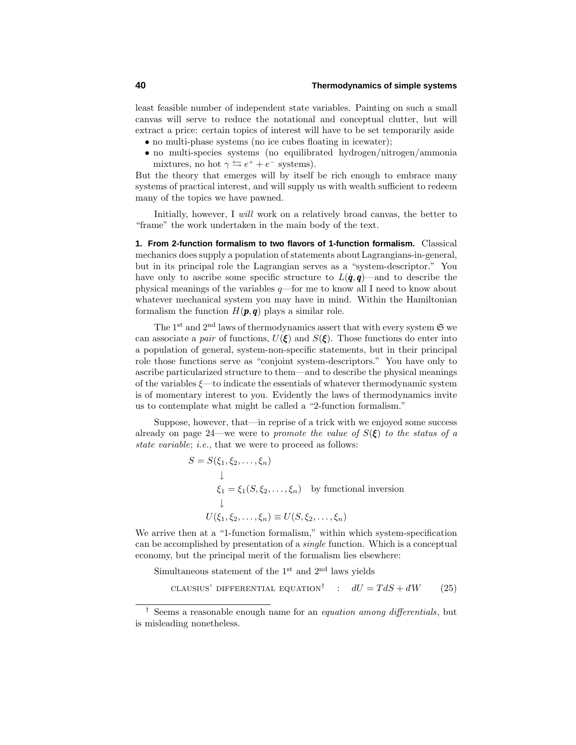least feasible number of independent state variables. Painting on such a small canvas will serve to reduce the notational and conceptual clutter, but will extract a price: certain topics of interest will have to be set temporarily aside

- no multi-phase systems (no ice cubes floating in icewater);
- no multi-species systems (no equilibrated hydrogen/nitrogen/ammonia mixtures, no hot  $\gamma \leftrightarrows e^+ + e^-$  systems).

But the theory that emerges will by itself be rich enough to embrace many systems of practical interest, and will supply us with wealth sufficient to redeem many of the topics we have pawned.

Initially, however, I will work on a relatively broad canvas, the better to "frame" the work undertaken in the main body of the text.

**1. From 2-function formalism to two flavors of 1-function formalism.** Classical mechanics does supply a population of statements aboutLagrangians-in-general, but in its principal role the Lagrangian serves as a "system-descriptor." You have only to ascribe some specific structure to  $L(\dot{q}, q)$ —and to describe the physical meanings of the variables *q*—for me to know all I need to know about whatever mechanical system you may have in mind. Within the Hamiltonian formalism the function  $H(\mathbf{p}, \mathbf{q})$  plays a similar role.

The 1<sup>st</sup> and 2<sup>nd</sup> laws of thermodynamics assert that with every system  $\mathfrak{S}$  we can associate a *pair* of functions,  $U(\xi)$  and  $S(\xi)$ . Those functions do enter into a population of general, system-non-specific statements, but in their principal role those functions serve as "conjoint system-descriptors." You have only to ascribe particularized structure to them—and to describe the physical meanings of the variables *ξ*—to indicate the essentials of whatever thermodynamic system is of momentary interest to you. Evidently the laws of thermodynamics invite us to contemplate what might be called a "2-function formalism."

Suppose, however, that—in reprise of a trick with we enjoyed some success already on page 24—we were to *promote the value of*  $S(\xi)$  to the status of a state variable; i.e., that we were to proceed as follows:

> $S = S(\xi_1, \xi_2, \ldots, \xi_n)$ ↓  $\xi_1 = \xi_1(S, \xi_2, \dots, \xi_n)$  by functional inversion ↓  $U(\xi_1, \xi_2, \ldots, \xi_n) \equiv U(S, \xi_2, \ldots, \xi_n)$

We arrive then at a "1-function formalism," within which system-specification can be accomplished by presentation of a single function. Which is a conceptual economy, but the principal merit of the formalism lies elsewhere:

Simultaneous statement of the  $1<sup>st</sup>$  and  $2<sup>nd</sup>$  laws yields

CLAUSIUS' DIFFERENTIAL EQUATION<sup>†</sup> :  $dU = T dS + dW$  (25)

<sup>&</sup>lt;sup>†</sup> Seems a reasonable enough name for an *equation among differentials*, but is misleading nonetheless.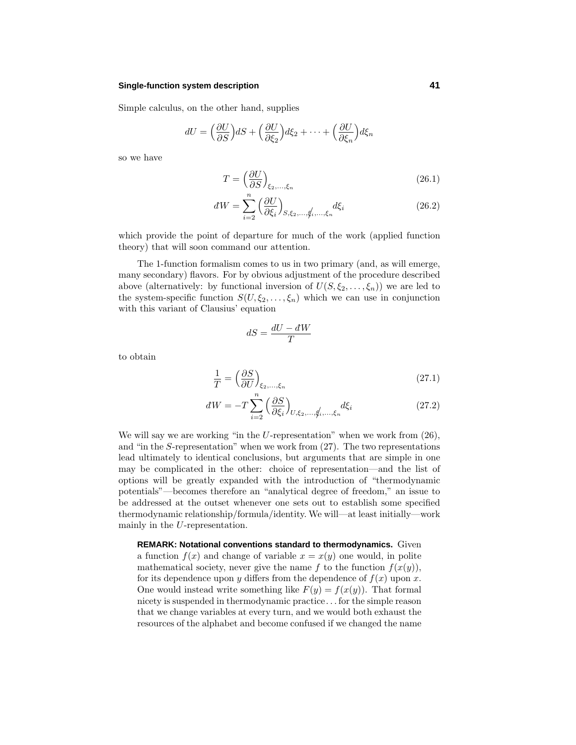#### **Single-function system description 41**

Simple calculus, on the other hand, supplies

$$
dU = \left(\frac{\partial U}{\partial S}\right) dS + \left(\frac{\partial U}{\partial \xi_2}\right) d\xi_2 + \dots + \left(\frac{\partial U}{\partial \xi_n}\right) d\xi_n
$$

so we have

$$
T = \left(\frac{\partial U}{\partial S}\right)_{\xi_2,\dots,\xi_n} \tag{26.1}
$$

$$
dW = \sum_{i=2}^{n} \left(\frac{\partial U}{\partial \xi_i}\right)_{S, \xi_2, \dots, \xi_i, \dots, \xi_n} d\xi_i
$$
 (26.2)

which provide the point of departure for much of the work (applied function theory) that will soon command our attention.

The 1-function formalism comes to us in two primary (and, as will emerge, many secondary) flavors. For by obvious adjustment of the procedure described above (alternatively: by functional inversion of  $U(S, \xi_2, \ldots, \xi_n)$ ) we are led to the system-specific function  $S(U, \xi_2, \ldots, \xi_n)$  which we can use in conjunction with this variant of Clausius' equation

$$
dS = \frac{dU - dW}{T}
$$

to obtain

$$
\frac{1}{T} = \left(\frac{\partial S}{\partial U}\right)_{\xi_2, \dots, \xi_n} \tag{27.1}
$$

$$
dW = -T\sum_{i=2}^{n} \left(\frac{\partial S}{\partial \xi_i}\right)_{U,\xi_2,\dots,\xi_i,\dots,\xi_n} d\xi_i
$$
 (27.2)

We will say we are working "in the *U*-representation" when we work from  $(26)$ , and "in the *S*-representation" when we work from (27). The two representations lead ultimately to identical conclusions, but arguments that are simple in one may be complicated in the other: choice of representation—and the list of options will be greatly expanded with the introduction of "thermodynamic potentials"—becomes therefore an "analytical degree of freedom," an issue to be addressed at the outset whenever one sets out to establish some specified thermodynamic relationship/formula/identity. We will—at least initially—work mainly in the *U*-representation.

**REMARK: Notational conventions standard to thermodynamics.** Given a function  $f(x)$  and change of variable  $x = x(y)$  one would, in polite mathematical society, never give the name  $f$  to the function  $f(x(y))$ , for its dependence upon *y* differs from the dependence of  $f(x)$  upon *x*. One would instead write something like  $F(y) = f(x(y))$ . That formal nicety is suspended in thermodynamic practice*...* for the simple reason that we change variables at every turn, and we would both exhaust the resources of the alphabet and become confused if we changed the name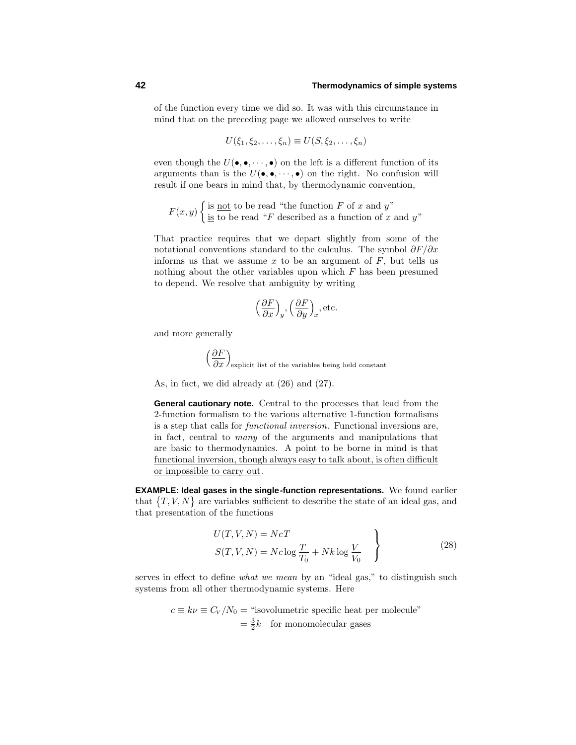of the function every time we did so. It was with this circumstance in mind that on the preceding page we allowed ourselves to write

$$
U(\xi_1,\xi_2,\ldots,\xi_n)\equiv U(S,\xi_2,\ldots,\xi_n)
$$

even though the  $U(\bullet, \bullet, \cdots, \bullet)$  on the left is a different function of its arguments than is the  $U(\bullet, \bullet, \cdots, \bullet)$  on the right. No confusion will result if one bears in mind that, by thermodynamic convention,

$$
F(x, y) \begin{cases} \text{is } \underline{\text{not}} \text{ to be read "the function } F \text{ of } x \text{ and } y"\\ \underline{\text{is}} \text{ to be read "}F \text{ described as a function of } x \text{ and } y" \end{cases}
$$

That practice requires that we depart slightly from some of the notational conventions standard to the calculus. The symbol *∂F/∂x* informs us that we assume  $x$  to be an argument of  $F$ , but tells us nothing about the other variables upon which *F* has been presumed to depend. We resolve that ambiguity by writing

$$
\left(\frac{\partial F}{\partial x}\right)_y
$$
,  $\left(\frac{\partial F}{\partial y}\right)_x$ , etc.

and more generally

$$
\left(\frac{\partial F}{\partial x}\right)_{\text{explicit list of the variables being held constant}}
$$

As, in fact, we did already at (26) and (27).

**General cautionary note.** Central to the processes that lead from the 2-function formalism to the various alternative 1-function formalisms is a step that calls for functional inversion. Functional inversions are, in fact, central to many of the arguments and manipulations that are basic to thermodynamics. A point to be borne in mind is that functional inversion, though always easy to talk about, is often difficult or impossible to carry out.

**EXAMPLE: Ideal gases in the single-function representations.** We found earlier that  $\{T, V, N\}$  are variables sufficient to describe the state of an ideal gas, and that presentation of the functions

$$
U(T, V, N) = NcT
$$
  

$$
S(T, V, N) = Nc \log \frac{T}{T_0} + Nk \log \frac{V}{V_0}
$$
 (28)

serves in effect to define what we mean by an "ideal gas," to distinguish such systems from all other thermodynamic systems. Here

$$
c \equiv k\nu \equiv C_V/N_0
$$
 = "isovolumetric specific heat per molecule"  
=  $\frac{3}{2}k$  for monomolecular gases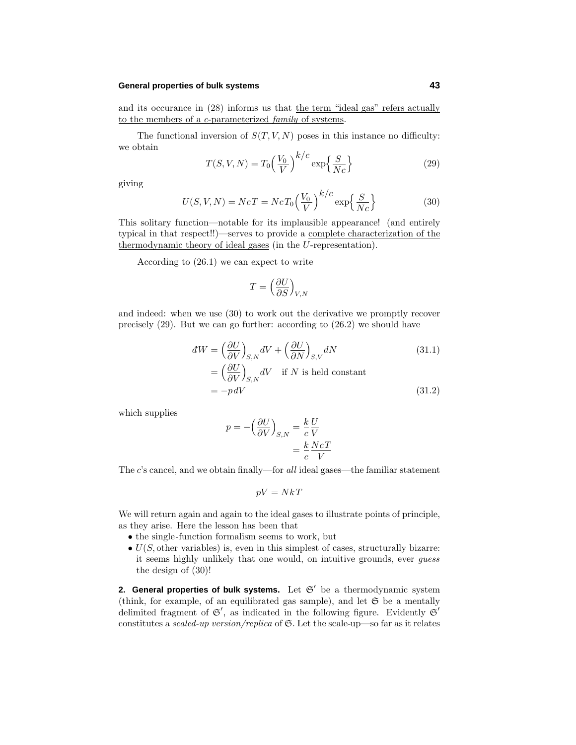#### **General properties of bulk systems 43**

and its occurance in  $(28)$  informs us that the term "ideal gas" refers actually to the members of a *c*-parameterized family of systems.

The functional inversion of  $S(T, V, N)$  poses in this instance no difficulty: we obtain

$$
T(S, V, N) = T_0 \left(\frac{V_0}{V}\right)^{k/c} \exp\left\{\frac{S}{Nc}\right\}
$$
\n(29)

giving

$$
U(S, V, N) = NcT = NcT_0 \left(\frac{V_0}{V}\right)^{k/c} \exp\left\{\frac{S}{Nc}\right\}
$$
(30)

This solitary function—notable for its implausible appearance! (and entirely typical in that respect!!)—serves to provide a complete characterization of the thermodynamic theory of ideal gases (in the *U*-representation).

According to (26.1) we can expect to write

$$
T = \left(\frac{\partial U}{\partial S}\right)_{V,N}
$$

and indeed: when we use (30) to work out the derivative we promptly recover precisely (29). But we can go further: according to (26.2) we should have

$$
dW = \left(\frac{\partial U}{\partial V}\right)_{S,N} dV + \left(\frac{\partial U}{\partial N}\right)_{S,V} dN
$$
\n
$$
= \left(\frac{\partial U}{\partial V}\right)_{S,N} dV \quad \text{if } N \text{ is held constant}
$$
\n
$$
= -pdV
$$
\n(31.2)

which supplies

$$
p = -\left(\frac{\partial U}{\partial V}\right)_{S,N} = \frac{k}{c} \frac{U}{V}
$$

$$
= \frac{k}{c} \frac{NcT}{V}
$$

The *c*'s cancel, and we obtain finally—for all ideal gases—the familiar statement

$$
pV = NkT
$$

We will return again and again to the ideal gases to illustrate points of principle, as they arise. Here the lesson has been that

- the single-function formalism seems to work, but
- $\bullet$   $U(S, \text{other variables})$  is, even in this simplest of cases, structurally bizarre: it seems highly unlikely that one would, on intuitive grounds, ever guess the design of (30)!

**2. General properties of bulk systems.** Let  $\mathfrak{S}'$  be a thermodynamic system (think, for example, of an equilibrated gas sample), and let  $\mathfrak S$  be a mentally delimited fragment of  $\mathfrak{S}'$ , as indicated in the following figure. Evidently  $\mathfrak{S}'$ constitutes a scaled-up version/replica of  $\mathfrak{S}$ . Let the scale-up—so far as it relates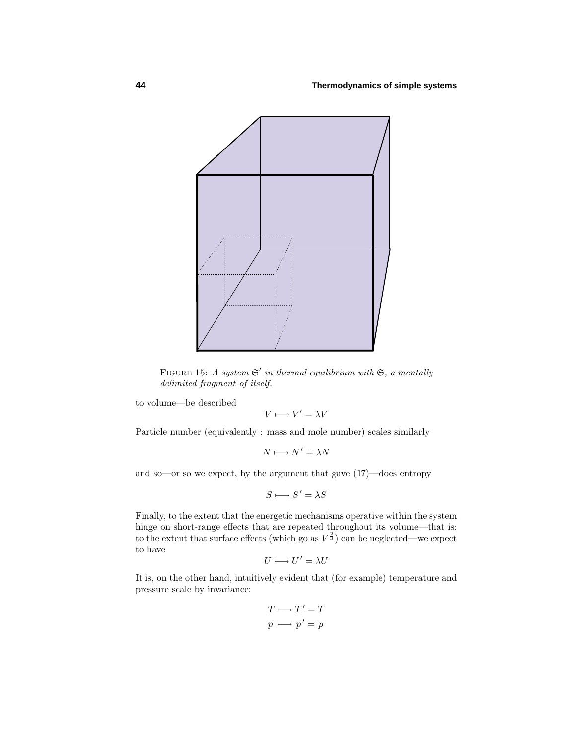

FIGURE 15: A system  $\mathfrak{S}'$  in thermal equilibrium with  $\mathfrak{S}$ , a mentally delimited fragment of itself.

to volume—be described

$$
V \longmapsto V' = \lambda V
$$

Particle number (equivalently : mass and mole number) scales similarly

$$
N\longmapsto N'=\lambda N
$$

and so—or so we expect, by the argument that gave (17)—does entropy

$$
S \longmapsto S' = \lambda S
$$

Finally, to the extent that the energetic mechanisms operative within the system hinge on short-range effects that are repeated throughout its volume—that is: to the extent that surface effects (which go as  $V^{\frac{2}{3}}$ ) can be neglected—we expect to have

$$
U \longmapsto U' = \lambda U
$$

It is, on the other hand, intuitively evident that (for example) temperature and pressure scale by invariance:

$$
T \longmapsto T' = T
$$

$$
p \longmapsto p' = p
$$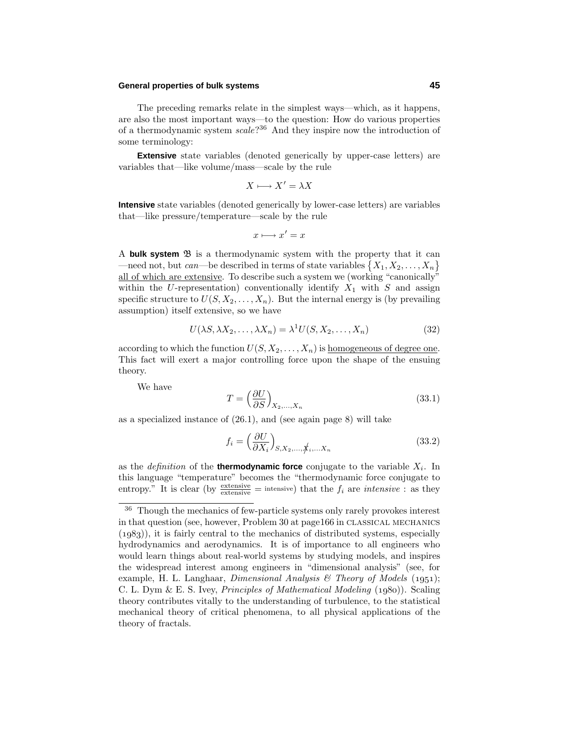### **General properties of bulk systems 45**

The preceding remarks relate in the simplest ways—which, as it happens, are also the most important ways—to the question: How do various properties of a thermodynamic system scale?<sup>36</sup> And they inspire now the introduction of some terminology:

**Extensive** state variables (denoted generically by upper-case letters) are variables that—like volume/mass—scale by the rule

$$
X \longmapsto X' = \lambda X
$$

**Intensive** state variables (denoted generically by lower-case letters) are variables that—like pressure/temperature—scale by the rule

$$
x \longmapsto x' = x
$$

A **bulk system**  $\mathfrak{B}$  is a thermodynamic system with the property that it can  $\left\{X_1, X_2, \ldots, X_n\right\}$ all of which are extensive. To describe such a system we (working "canonically" within the U-representation) conventionally identify  $X_1$  with  $S$  and assign specific structure to  $U(S, X_2, \ldots, X_n)$ . But the internal energy is (by prevailing assumption) itself extensive, so we have

$$
U(\lambda S, \lambda X_2, \dots, \lambda X_n) = \lambda^1 U(S, X_2, \dots, X_n)
$$
\n(32)

according to which the function  $U(S, X_2, \ldots, X_n)$  is homogeneous of degree one. This fact will exert a major controlling force upon the shape of the ensuing theory.

We have

$$
T = \left(\frac{\partial U}{\partial S}\right)_{X_2,\dots,X_n} \tag{33.1}
$$

as a specialized instance of (26.1), and (see again page 8) will take

$$
f_i = \left(\frac{\partial U}{\partial X_i}\right)_{S, X_2, \dots, \not{X_i, \dots, X_n}}\tag{33.2}
$$

as the *definition* of the **thermodynamic force** conjugate to the variable  $X_i$ . In this language "temperature" becomes the "thermodynamic force conjugate to entropy." It is clear (by  $\frac{\text{extensive}}{\text{extensive}} = \text{intensive}$ ) that the  $f_i$  are *intensive*: as they

<sup>36</sup> Though the mechanics of few-particle systems only rarely provokes interest in that question (see, however, Problem 30 at page166 in classical mechanics  $(1983)$ , it is fairly central to the mechanics of distributed systems, especially hydrodynamics and aerodynamics. It is of importance to all engineers who would learn things about real-world systems by studying models, and inspires the widespread interest among engineers in "dimensional analysis" (see, for example, H. L. Langhaar, *Dimensional Analysis & Theory of Models* (1951); C. L. Dym & E. S. Ivey, *Principles of Mathematical Modeling*  $(1980)$ . Scaling theory contributes vitally to the understanding of turbulence, to the statistical mechanical theory of critical phenomena, to all physical applications of the theory of fractals.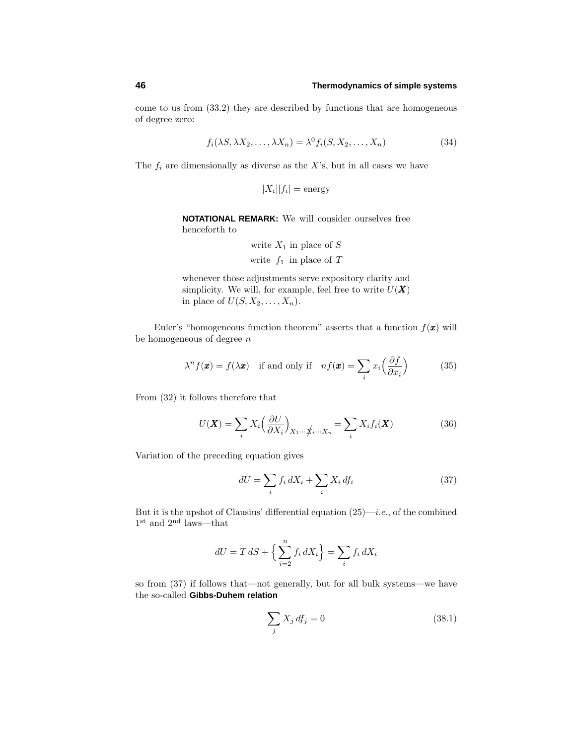come to us from (33.2) they are described by functions that are homogeneous of degree zero:

$$
f_i(\lambda S, \lambda X_2, \dots, \lambda X_n) = \lambda^0 f_i(S, X_2, \dots, X_n)
$$
\n(34)

The  $f_i$  are dimensionally as diverse as the  $X$ 's, but in all cases we have

$$
[X_i][f_i] = \text{energy}
$$

**NOTATIONAL REMARK:** We will consider ourselves free henceforth to

write 
$$
X_1
$$
 in place of  $S$   
write  $f_1$  in place of  $T$ 

whenever those adjustments serve expository clarity and simplicity. We will, for example, feel free to write  $U(\boldsymbol{X})$ in place of  $U(S, X_2, \ldots, X_n)$ .

Euler's "homogeneous function theorem" asserts that a function  $f(\mathbf{x})$  will be homogeneous of degree *n*

$$
\lambda^n f(\mathbf{x}) = f(\lambda \mathbf{x}) \quad \text{if and only if} \quad nf(\mathbf{x}) = \sum_i x_i \left(\frac{\partial f}{\partial x_i}\right) \tag{35}
$$

From (32) it follows therefore that

$$
U(\boldsymbol{X}) = \sum_{i} X_i \left(\frac{\partial U}{\partial X_i}\right)_{X_1 \cdots \hat{X}_i \cdots X_n} = \sum_{i} X_i f_i(\boldsymbol{X})
$$
(36)

Variation of the preceding equation gives

$$
dU = \sum_{i} f_i \, dX_i + \sum_{i} X_i \, df_i \tag{37}
$$

But it is the upshot of Clausius' differential equation  $(25)$ —*i.e.*, of the combined  $1^{\text{st}}$  and  $2^{\text{nd}}$  laws—that

$$
dU = T dS + \left\{ \sum_{i=2}^{n} f_i dX_i \right\} = \sum_i f_i dX_i
$$

so from (37) if follows that—not generally, but for all bulk systems—we have the so-called **Gibbs-Duhem relation**

$$
\sum_{j} X_j df_j = 0 \tag{38.1}
$$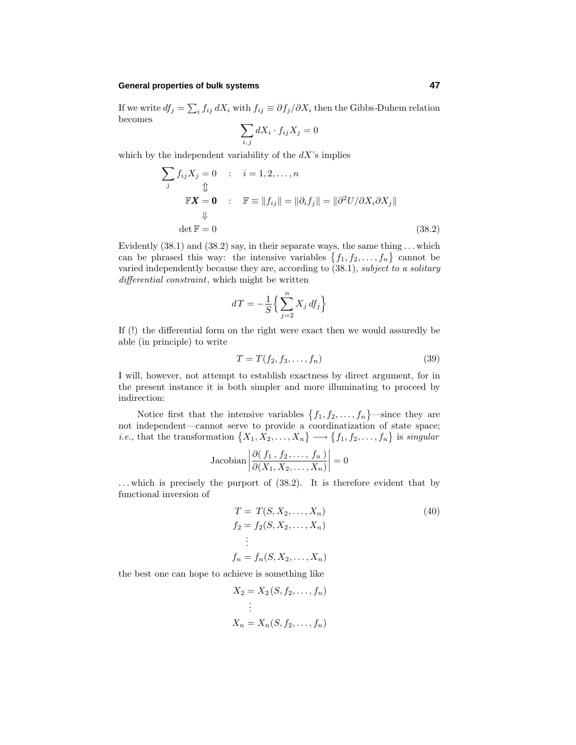### **General properties of bulk systems 47**

If we write  $df_j = \sum_i f_{ij} dX_i$  with  $f_{ij} \equiv \partial f_j / \partial X_i$  then the Gibbs-Duhem relation becomes

$$
\sum_{i,j} dX_i \cdot f_{ij} X_j = 0
$$

which by the independent variability of the  $dX$ 's implies

$$
\sum_{j} f_{ij} X_{j} = 0 \quad : \quad i = 1, 2, ..., n
$$
  
\n
$$
\begin{aligned}\n\mathbb{F}X &= \mathbf{0} \\
\Downarrow & \qquad \qquad \mathbb{F} \equiv \|f_{ij}\| = \|\partial_{i} f_{j}\| = \|\partial^{2} U / \partial X_{i} \partial X_{j}\| \\
& \qquad \qquad \downarrow \qquad \qquad \text{det } \mathbb{F} = 0\n\end{aligned}
$$
\n(38.2)

Evidently (38.1) and (38.2) say, in their separate ways, the same thing *...* which can be phrased this way: the intensive variables  $\{f_1, f_2, \ldots, f_n\}$  cannot be varied independently because they are, according to  $(38.1)$ , subject to a solitary differential constraint, which might be written

$$
dT = -\frac{1}{S} \Big\{ \sum_{j=2}^{n} X_j df_j \Big\}
$$

If (!) the differential form on the right were exact then we would assuredly be able (in principle) to write

$$
T = T(f_2, f_3, \dots, f_n) \tag{39}
$$

I will, however, not attempt to establish exactness by direct argument, for in the present instance it is both simpler and more illuminating to proceed by indirection:

Notice first that the intensive variables  $\{f_1, f_2, \ldots, f_n\}$ —since they are not independent—cannot serve to provide a coordinatization of state space; *i.e.*, that the transformation  $\{X_1, X_2, \ldots, X_n\} \longrightarrow \{f_1, f_2, \ldots, f_n\}$  is *singular* 

$$
Jacobian \left| \frac{\partial (f_1, f_2, \dots, f_n)}{\partial (X_1, X_2, \dots, X_n)} \right| = 0
$$

*...* which is precisely the purport of (38.2). It is therefore evident that by functional inversion of

$$
T = T(S, X_2, ..., X_n)
$$
  
\n
$$
f_2 = f_2(S, X_2, ..., X_n)
$$
  
\n
$$
\vdots
$$
  
\n
$$
f_n = f_n(S, X_2, ..., X_n)
$$
  
\n(40)

the best one can hope to achieve is something like

$$
X_2 = X_2(S, f_2, \dots, f_n)
$$

$$
\vdots
$$

$$
X_n = X_n(S, f_2, \dots, f_n)
$$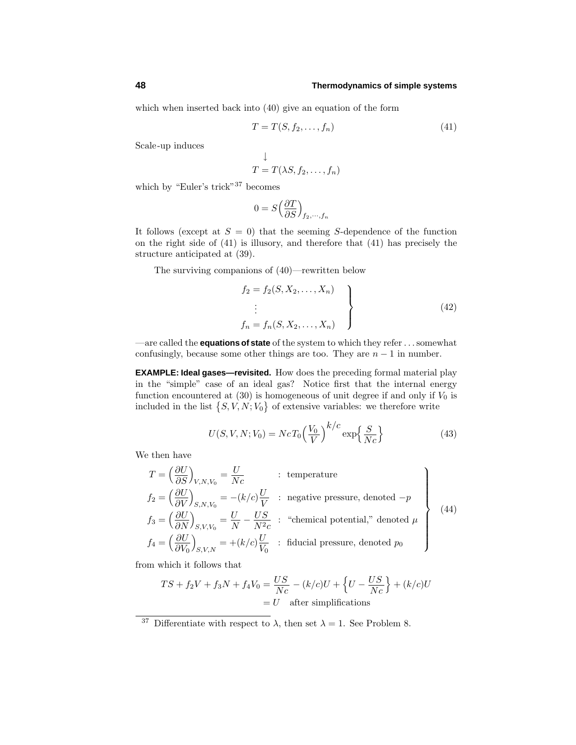which when inserted back into (40) give an equation of the form

$$
T = T(S, f_2, \dots, f_n)
$$
\n<sup>(41)</sup>

Scale-up induces

$$
\downarrow
$$
  

$$
T = T(\lambda S, f_2, \dots, f_n)
$$

which by "Euler's trick"<sup>37</sup> becomes

$$
0 = S\left(\frac{\partial T}{\partial S}\right)_{f_2,\cdots,f_n}
$$

It follows (except at  $S = 0$ ) that the seeming *S*-dependence of the function on the right side of (41) is illusory, and therefore that (41) has precisely the structure anticipated at (39).

The surviving companions of (40)—rewritten below

$$
\begin{cases}\nf_2 = f_2(S, X_2, \dots, X_n) \\
\vdots \\
f_n = f_n(S, X_2, \dots, X_n)\n\end{cases}
$$
\n(42)

—are called the **equations of state** of the system to which they refer *...*somewhat confusingly, because some other things are too. They are  $n-1$  in number.

**EXAMPLE: Ideal gases—revisited.** How does the preceding formal material play in the "simple" case of an ideal gas? Notice first that the internal energy function encountered at  $(30)$  is homogeneous of unit degree if and only if  $V_0$  is included in the list  $\{S, V, N; V_0\}$  of extensive variables: we therefore write

$$
U(S, V, N; V_0) = N c T_0 \left(\frac{V_0}{V}\right)^{k/c} \exp\left\{\frac{S}{Nc}\right\}
$$
\n
$$
(43)
$$

We then have

$$
T = \left(\frac{\partial U}{\partial S}\right)_{V, N, V_0} = \frac{U}{Nc}
$$
: temperature  
\n
$$
f_2 = \left(\frac{\partial U}{\partial V}\right)_{S, N, V_0} = -(k/c)\frac{U}{V}
$$
: negative pressure, denoted  $-p$   
\n
$$
f_3 = \left(\frac{\partial U}{\partial N}\right)_{S, V, V_0} = \frac{U}{N} - \frac{US}{N^2c}
$$
: "chemical potential," denoted  $\mu$   
\n
$$
f_4 = \left(\frac{\partial U}{\partial V_0}\right)_{S, V, N} = +(k/c)\frac{U}{V_0}
$$
: fiducial pressure, denoted  $p_0$  (44)

from which it follows that

$$
TS + f_2V + f_3N + f_4V_0 = \frac{US}{Nc} - (k/c)U + \left\{U - \frac{US}{Nc}\right\} + (k/c)U
$$
  
= U after simplifications

<sup>&</sup>lt;sup>37</sup> Differentiate with respect to  $\lambda$ , then set  $\lambda = 1$ . See Problem 8.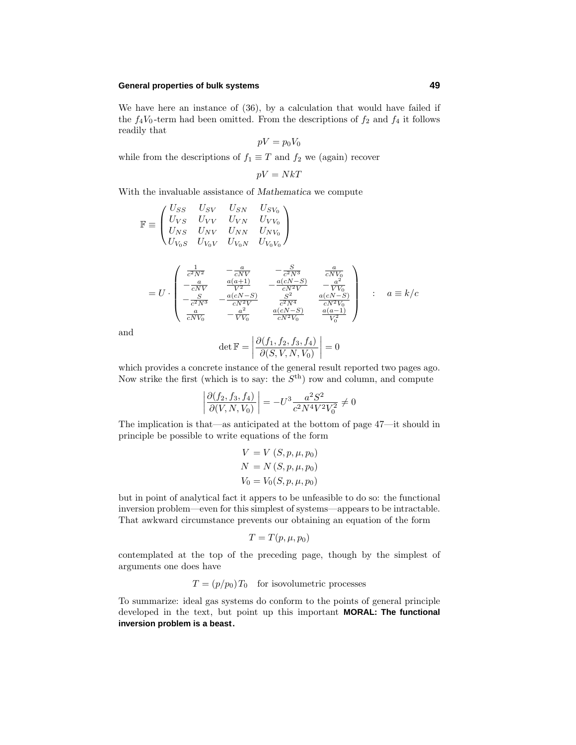### **General properties of bulk systems 49**

We have here an instance of (36), by a calculation that would have failed if the  $f_4V_0$ -term had been omitted. From the descriptions of  $f_2$  and  $f_4$  it follows readily that

$$
pV = p_0V_0
$$

while from the descriptions of  $f_1 \equiv T$  and  $f_2$  we (again) recover

$$
pV = NkT
$$

With the invaluable assistance of *Mathematica* we compute

$$
\mathbb{F} \equiv \begin{pmatrix} U_{SS} & U_{SV} & U_{SN} & U_{SV_0} \\ U_{VS} & U_{VV} & U_{VN} & U_{VV_0} \\ U_{NS} & U_{NV} & U_{NN} & U_{NV_0} \\ U_{V_0S} & U_{V_0V} & U_{V_0N} & U_{V_0V_0} \end{pmatrix}
$$

$$
= U \cdot \begin{pmatrix} \frac{1}{c^2 N^2} & -\frac{a}{c N V} & -\frac{S}{c^2 N^3} & \frac{a}{c N V_0} \\ -\frac{a}{c N V} & \frac{a(a+1)}{V^2} & -\frac{a(cN-S)}{c N^2 V} & -\frac{a^2}{V V_0} \\ -\frac{S}{c^2 N^3} & -\frac{a(cN-S)}{c N^2 V} & \frac{S^2}{c^2 N^4} & \frac{a(cN-S)}{c N^2 V_0} \\ \frac{a}{c N V_0} & -\frac{a^2}{V V_0} & \frac{a(cN-S)}{c N^2 V_0} & \frac{a(a-1)}{V_0^2} \end{pmatrix} \; : \; a \equiv k/c
$$

and

$$
\det \mathbb{F} = \left| \frac{\partial (f_1, f_2, f_3, f_4)}{\partial (S, V, N, V_0)} \right| = 0
$$

which provides a concrete instance of the general result reported two pages ago. Now strike the first (which is to say: the *S*th) row and column, and compute

$$
\left| \frac{\partial (f_2, f_3, f_4)}{\partial (V, N, V_0)} \right| = -U^3 \frac{a^2 S^2}{c^2 N^4 V^2 V_0^2} \neq 0
$$

The implication is that—as anticipated at the bottom of page 47—it should in principle be possible to write equations of the form

$$
V = V(S, p, \mu, p_0)
$$
  

$$
N = N(S, p, \mu, p_0)
$$
  

$$
V_0 = V_0(S, p, \mu, p_0)
$$

but in point of analytical fact it appers to be unfeasible to do so: the functional inversion problem—even for this simplest of systems—appears to be intractable. That awkward circumstance prevents our obtaining an equation of the form

$$
T = T(p, \mu, p_0)
$$

contemplated at the top of the preceding page, though by the simplest of arguments one does have

 $T = (p/p_0)T_0$  for isovolumetric processes

To summarize: ideal gas systems do conform to the points of general principle developed in the text, but point up this important **MORAL: The functional inversion problem is a beast.**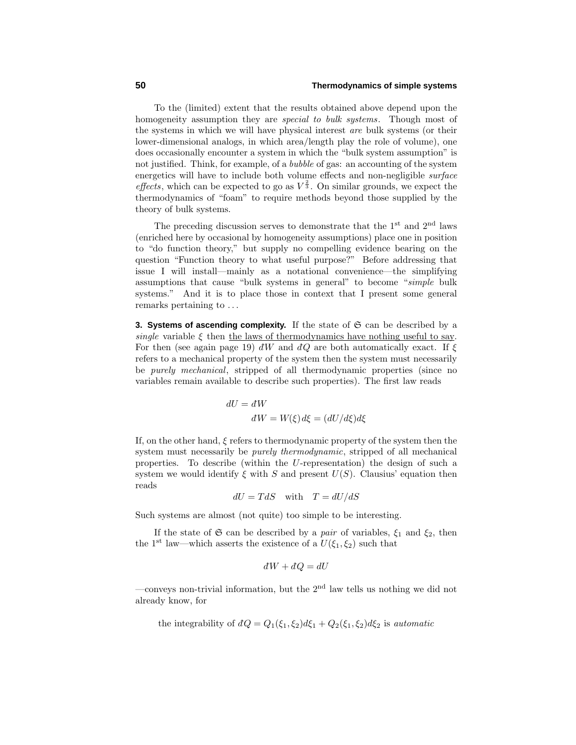To the (limited) extent that the results obtained above depend upon the homogeneity assumption they are *special to bulk systems*. Though most of the systems in which we will have physical interest are bulk systems (or their lower-dimensional analogs, in which area/length play the role of volume), one does occasionally encounter a system in which the "bulk system assumption" is not justified. Think, for example, of a bubble of gas: an accounting of the system energetics will have to include both volume effects and non-negligible surface *effects*, which can be expected to go as  $V^{\frac{2}{3}}$ . On similar grounds, we expect the thermodynamics of "foam" to require methods beyond those supplied by the theory of bulk systems.

The preceding discussion serves to demonstrate that the  $1<sup>st</sup>$  and  $2<sup>nd</sup>$  laws (enriched here by occasional by homogeneity assumptions) place one in position to "do function theory," but supply no compelling evidence bearing on the question "Function theory to what useful purpose?" Before addressing that issue I will install—mainly as a notational convenience—the simplifying assumptions that cause "bulk systems in general" to become "simple bulk systems." And it is to place those in context that I present some general remarks pertaining to *...*

**3. Systems of ascending complexity.** If the state of  $\mathfrak{S}$  can be described by a single variable  $\xi$  then the laws of thermodynamics have nothing useful to say. For then (see again page 19)  $dW$  and  $dQ$  are both automatically exact. If  $\xi$ refers to a mechanical property of the system then the system must necessarily be purely mechanical, stripped of all thermodynamic properties (since no variables remain available to describe such properties). The first law reads

> $dU = dW$  $dW = W(\xi) d\xi = (dU/d\xi) d\xi$

If, on the other hand, *ξ* refers to thermodynamic property of the system then the system must necessarily be *purely thermodynamic*, stripped of all mechanical properties. To describe (within the *U*-representation) the design of such a system we would identify  $\xi$  with  $S$  and present  $U(S)$ . Clausius' equation then reads

$$
dU = TdS \quad \text{with} \quad T = dU/dS
$$

Such systems are almost (not quite) too simple to be interesting.

If the state of  $\mathfrak{S}$  can be described by a *pair* of variables,  $\xi_1$  and  $\xi_2$ , then the 1<sup>st</sup> law—which asserts the existence of a  $U(\xi_1, \xi_2)$  such that

$$
dW + dQ = dU
$$

—conveys non-trivial information, but the  $2<sup>nd</sup>$  law tells us nothing we did not already know, for

the integrability of 
$$
dQ = Q_1(\xi_1, \xi_2)d\xi_1 + Q_2(\xi_1, \xi_2)d\xi_2
$$
 is *automatic*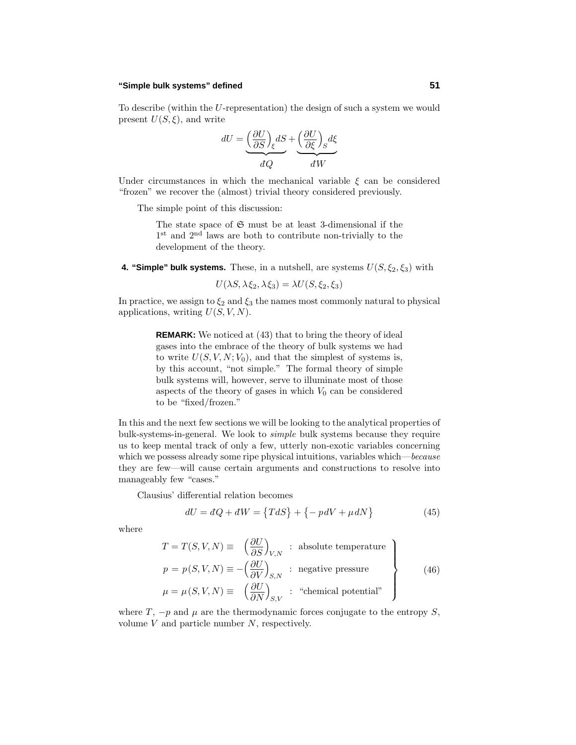#### **"Simple bulk systems" defined 51**

To describe (within the *U*-representation) the design of such a system we would present  $U(S,\xi)$ , and write

$$
dU = \underbrace{\left(\frac{\partial U}{\partial S}\right)}_{dQ} dS + \underbrace{\left(\frac{\partial U}{\partial \xi}\right)}_{dW} d\xi
$$

Under circumstances in which the mechanical variable  $\xi$  can be considered "frozen" we recover the (almost) trivial theory considered previously.

The simple point of this discussion:

The state space of  $\mathfrak S$  must be at least 3-dimensional if the 1<sup>st</sup> and 2<sup>nd</sup> laws are both to contribute non-trivially to the development of the theory.

**4. "Simple" bulk systems.** These, in a nutshell, are systems  $U(S, \xi_2, \xi_3)$  with

$$
U(\lambda S, \lambda \xi_2, \lambda \xi_3) = \lambda U(S, \xi_2, \xi_3)
$$

In practice, we assign to  $\xi_2$  and  $\xi_3$  the names most commonly natural to physical applications, writing *U*(*S, V, N*).

> **REMARK:** We noticed at (43) that to bring the theory of ideal gases into the embrace of the theory of bulk systems we had to write  $U(S, V, N; V_0)$ , and that the simplest of systems is, by this account, "not simple." The formal theory of simple bulk systems will, however, serve to illuminate most of those aspects of the theory of gases in which  $V_0$  can be considered to be "fixed/frozen."

In this and the next few sections we will be looking to the analytical properties of bulk-systems-in-general. We look to simple bulk systems because they require us to keep mental track of only a few, utterly non-exotic variables concerning which we possess already some ripe physical intuitions, variables which—because they are few—will cause certain arguments and constructions to resolve into manageably few "cases."

Clausius' differential relation becomes

$$
dU = dQ + dW = \{TdS\} + \{-pdV + \mu dN\}
$$
\n<sup>(45)</sup>

where

$$
T = T(S, V, N) \equiv \left(\frac{\partial U}{\partial S}\right)_{V, N} : \text{ absolute temperature}
$$
  
\n
$$
p = p(S, V, N) \equiv -\left(\frac{\partial U}{\partial V}\right)_{S, N} : \text{ negative pressure}
$$
  
\n
$$
\mu = \mu(S, V, N) \equiv \left(\frac{\partial U}{\partial N}\right)_{S, V} : \text{ "chemical potential"}
$$
\n(46)

where *T*,  $-p$  and  $\mu$  are the thermodynamic forces conjugate to the entropy *S*, volume *V* and particle number *N*, respectively.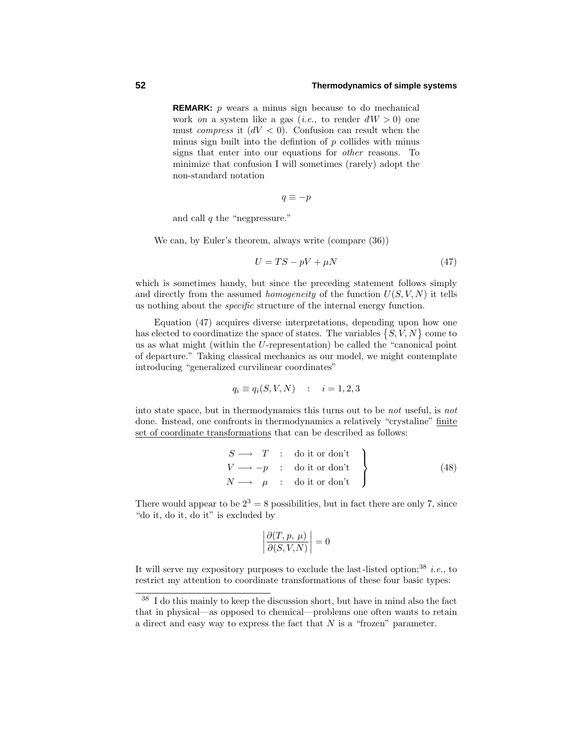**REMARK:** *p* wears a minus sign because to do mechanical work *on* a system like a gas (*i.e.*, to render  $dW > 0$ ) one must *compress* it  $(dV < 0)$ . Confusion can result when the minus sign built into the defintion of *p* collides with minus signs that enter into our equations for other reasons. To minimize that confusion I will sometimes (rarely) adopt the non-standard notation

$$
q\equiv -p
$$

and call *q* the "negpressure."

We can, by Euler's theorem, always write (compare (36))

$$
U = TS - pV + \mu N \tag{47}
$$

which is sometimes handy, but since the preceding statement follows simply and directly from the assumed *homogeneity* of the function  $U(S, V, N)$  it tells us nothing about the specific structure of the internal energy function.

Equation (47) acquires diverse interpretations, depending upon how one has elected to coordinatize the space of states. The variables  $\{S, V, N\}$  come to us as what might (within the *U*-representation) be called the "canonical point of departure." Taking classical mechanics as our model, we might contemplate introducing "generalized curvilinear coordinates"

$$
q_i \equiv q_i(S, V, N) \quad : \quad i = 1, 2, 3
$$

into state space, but in thermodynamics this turns out to be not useful, is not done. Instead, one confronts in thermodynamics a relatively "crystaline" finite set of coordinate transformations that can be described as follows:

$$
\begin{array}{ccc}\nS \longrightarrow & T & : & \text{do it or don't} \\
V \longrightarrow -p & : & \text{do it or don't} \\
N \longrightarrow & \mu & : & \text{do it or don't}\n\end{array}
$$
\n(48)

There would appear to be  $2^3 = 8$  possibilities, but in fact there are only 7, since "do it, do it, do it" is excluded by

$$
\left| \frac{\partial(T, p, \mu)}{\partial(S, V, N)} \right| = 0
$$

It will serve my expository purposes to exclude the last-listed option;<sup>38</sup> *i.e.*, to restrict my attention to coordinate transformations of these four basic types:

<sup>38</sup> I do this mainly to keep the discussion short, but have in mind also the fact that in physical—as opposed to chemical—problems one often wants to retain a direct and easy way to express the fact that *N* is a "frozen" parameter.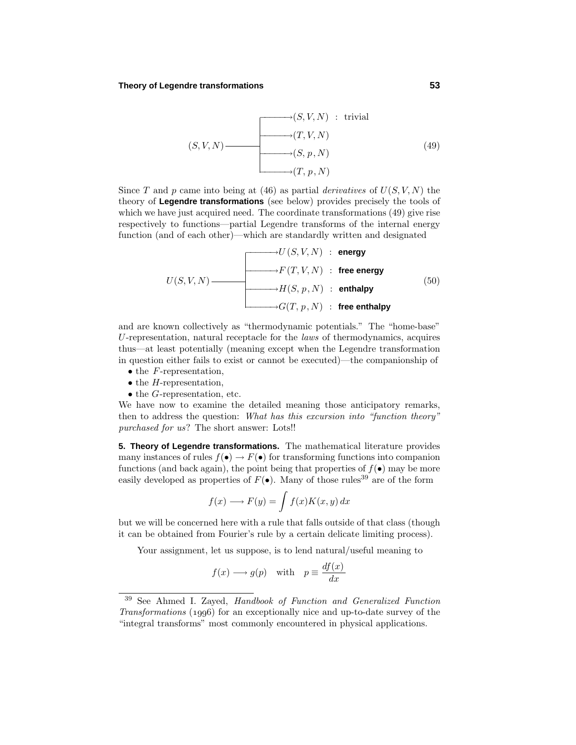#### **Theory of Legendre transformations 53**

$$
(S, V, N) \longrightarrow (S, V, N) : trivial
$$
\n
$$
(S, V, N) \longrightarrow (T, V, N)
$$
\n
$$
(49)
$$
\n
$$
(49)
$$

Since *T* and *p* came into being at (46) as partial *derivatives* of  $U(S, V, N)$  the theory of **Legendre transformations** (see below) provides precisely the tools of which we have just acquired need. The coordinate transformations (49) give rise respectively to functions—partial Legendre transforms of the internal energy function (and of each other)—which are standardly written and designated

$$
U(S, V, N) = \begin{cases}\nU(S, V, N) : \text{energy} \\
F(T, V, N) : \text{free energy} \\
H(S, p, N) : \text{enthalpy}\n\end{cases}
$$
\n(50)

and are known collectively as "thermodynamic potentials." The "home-base" *U*-representation, natural receptacle for the laws of thermodynamics, acquires thus—at least potentially (meaning except when the Legendre transformation in question either fails to exist or cannot be executed)—the companionship of

- the *F*-representation,
- the *H*-representation,
- the *G*-representation, etc.

We have now to examine the detailed meaning those anticipatory remarks, then to address the question: What has this excursion into "function theory" purchased for us? The short answer: Lots!!

**5. Theory of Legendre transformations.** The mathematical literature provides many instances of rules  $f(\bullet) \to F(\bullet)$  for transforming functions into companion functions (and back again), the point being that properties of  $f(\bullet)$  may be more easily developed as properties of  $F(\bullet)$ . Many of those rules<sup>39</sup> are of the form

$$
f(x) \longrightarrow F(y) = \int f(x)K(x, y) dx
$$

but we will be concerned here with a rule that falls outside of that class (though it can be obtained from Fourier's rule by a certain delicate limiting process).

Your assignment, let us suppose, is to lend natural/useful meaning to

$$
f(x) \longrightarrow g(p)
$$
 with  $p \equiv \frac{df(x)}{dx}$ 

<sup>39</sup> See Ahmed I. Zayed, Handbook of Function and Generalized Function Transformations  $(1996)$  for an exceptionally nice and up-to-date survey of the "integral transforms" most commonly encountered in physical applications.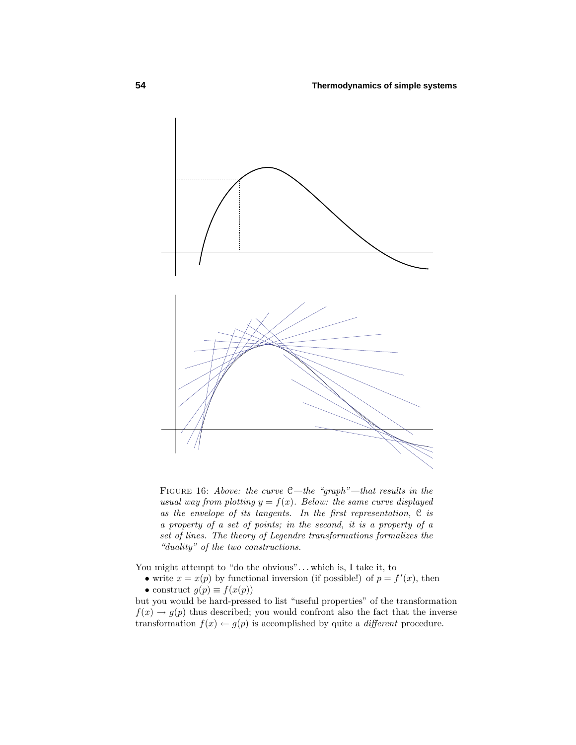

FIGURE 16: Above: the curve  $C$ —the "graph"—that results in the usual way from plotting  $y = f(x)$ . Below: the same curve displayed as the envelope of its tangents. In the first representation, C is a property of a set of points; in the second, it is a property of a set of lines. The theory of Legendre transformations formalizes the "duality" of the two constructions.

You might attempt to "do the obvious"...which is, I take it, to

• write  $x = x(p)$  by functional inversion (if possible!) of  $p = f'(x)$ , then • construct  $g(p) \equiv f(x(p))$ 

but you would be hard-pressed to list "useful properties" of the transformation  $f(x) \rightarrow g(p)$  thus described; you would confront also the fact that the inverse transformation  $f(x) \leftarrow g(p)$  is accomplished by quite a *different* procedure.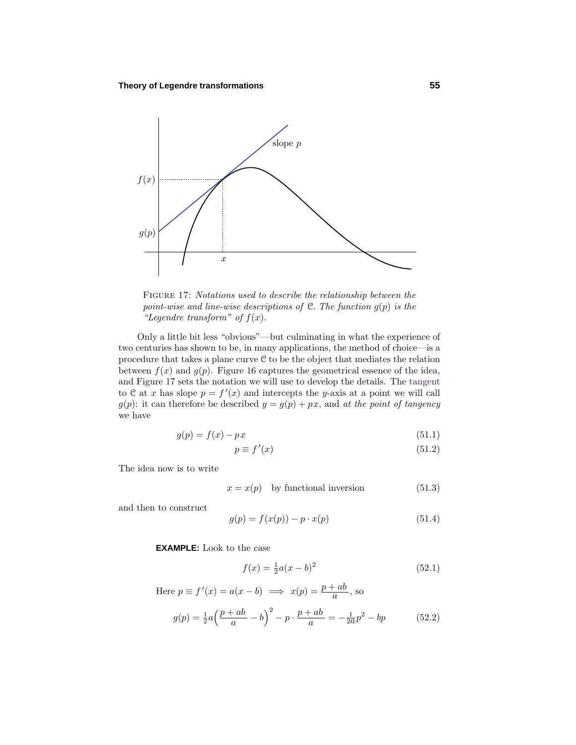

Figure 17: Notations used to describe the relationship between the point-wise and line-wise descriptions of  $C$ . The function  $g(p)$  is the "Legendre transform" of  $f(x)$ .

Only a little bit less "obvious"—but culminating in what the experience of two centuries has shown to be, in many applications, the method of choice—is a procedure that takes a plane curve  $C$  to be the object that mediates the relation between  $f(x)$  and  $g(p)$ . Figure 16 captures the geometrical essence of the idea, and Figure 17 sets the notation we will use to develop the details. The tangent to C at *x* has slope  $p = f'(x)$  and intercepts the *y*-axis at a point we will call  $g(p)$ : it can therefore be described  $y = g(p) + px$ , and at the point of tangency we have

$$
g(p) = f(x) - px \tag{51.1}
$$

$$
p \equiv f'(x) \tag{51.2}
$$

The idea now is to write

$$
x = x(p) \quad \text{by functional inversion} \tag{51.3}
$$

and then to construct

$$
g(p) = f(x(p)) - p \cdot x(p) \tag{51.4}
$$

**EXAMPLE:** Look to the case

$$
f(x) = \frac{1}{2}a(x - b)^2
$$
 (52.1)

Here 
$$
p \equiv f'(x) = a(x - b) \implies x(p) = \frac{p + ab}{a}
$$
, so  
\n
$$
g(p) = \frac{1}{2}a\left(\frac{p + ab}{a} - b\right)^2 - p \cdot \frac{p + ab}{a} = -\frac{1}{2a}p^2 - bp \tag{52.2}
$$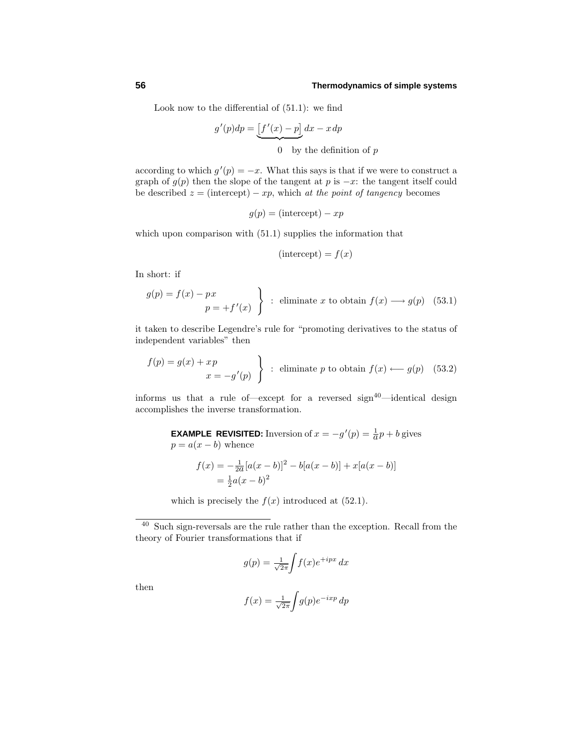Look now to the differential of (51.1): we find

$$
g'(p)dp = \underbrace{\left[f'(x) - p\right]}_{x} dx - x\,dp
$$

0 by the definition of *p*

according to which  $g'(p) = -x$ . What this says is that if we were to construct a graph of  $g(p)$  then the slope of the tangent at *p* is  $-x$ : the tangent itself could be described  $z = (intercept) - xp$ , which at the point of tangency becomes

$$
g(p) = (\text{intercept}) - xp
$$

which upon comparison with  $(51.1)$  supplies the information that

$$
(\text{intercept}) = f(x)
$$

In short: if

$$
g(p) = f(x) - px
$$
  
 
$$
p = +f'(x)
$$
  $\left\}$  : eliminate *x* to obtain  $f(x) \longrightarrow g(p)$  (53.1)

it taken to describe Legendre's rule for "promoting derivatives to the status of independent variables" then

$$
\begin{aligned}\nf(p) &= g(x) + xp \\
&x &= -g'(p)\n\end{aligned}\n\bigg\} \quad \text{eliminate } p \text{ to obtain } f(x) \longleftarrow g(p) \quad (53.2)
$$

informs us that a rule of—except for a reversed  $sign^{40}$ —identical design accomplishes the inverse transformation.

> **EXAMPLE REVISITED:** Inversion of  $x = -g'(p) = \frac{1}{a}p + b$  gives  $p = a(x - b)$  whence

$$
f(x) = -\frac{1}{2a}[a(x - b)]^2 - b[a(x - b)] + x[a(x - b)]
$$
  
=  $\frac{1}{2}a(x - b)^2$ 

which is precisely the  $f(x)$  introduced at  $(52.1)$ .

<sup>40</sup> Such sign-reversals are the rule rather than the exception. Recall from the theory of Fourier transformations that if

$$
g(p) = \frac{1}{\sqrt{2\pi}} \int f(x)e^{+ipx} dx
$$

then

$$
f(x) = \frac{1}{\sqrt{2\pi}} \int g(p)e^{-ixp} dp
$$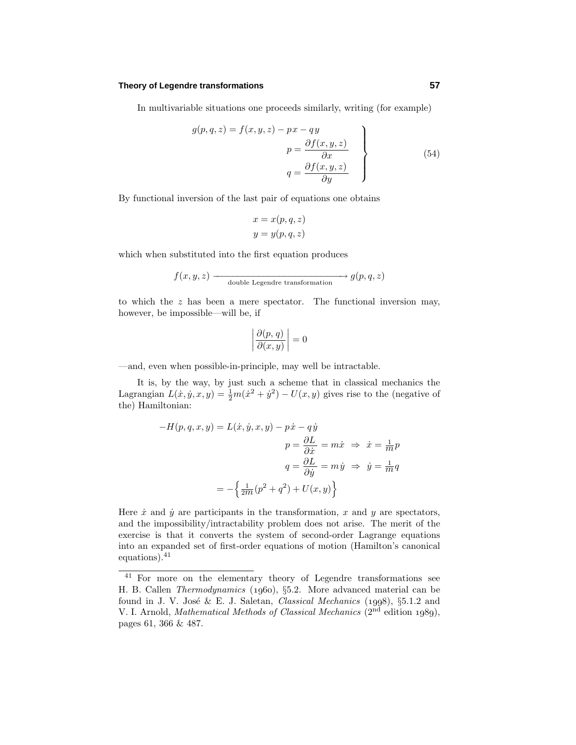#### **Theory of Legendre transformations 57**

In multivariable situations one proceeds similarly, writing (for example)

$$
g(p,q,z) = f(x,y,z) - px - qy
$$
  
\n
$$
p = \frac{\partial f(x,y,z)}{\partial x}
$$
  
\n
$$
q = \frac{\partial f(x,y,z)}{\partial y}
$$
\n(54)

By functional inversion of the last pair of equations one obtains

$$
x = x(p, q, z)
$$

$$
y = y(p, q, z)
$$

which when substituted into the first equation produces

$$
f(x, y, z)
$$
  $\longrightarrow$  double Legendre transformation  $g(p, q, z)$ 

to which the *z* has been a mere spectator. The functional inversion may, however, be impossible—will be, if

$$
\left| \frac{\partial(p, q)}{\partial(x, y)} \right| = 0
$$

—and, even when possible-in-principle, may well be intractable.

It is, by the way, by just such a scheme that in classical mechanics the Lagrangian  $L(\dot{x}, \dot{y}, x, y) = \frac{1}{2}m(\dot{x}^2 + \dot{y}^2) - U(x, y)$  gives rise to the (negative of the) Hamiltonian:

$$
-H(p, q, x, y) = L(\dot{x}, \dot{y}, x, y) - p\dot{x} - q\dot{y}
$$

$$
p = \frac{\partial L}{\partial \dot{x}} = m\dot{x} \implies \dot{x} = \frac{1}{m}p
$$

$$
q = \frac{\partial L}{\partial \dot{y}} = m\dot{y} \implies \dot{y} = \frac{1}{m}q
$$

$$
= -\left\{\frac{1}{2m}(p^2 + q^2) + U(x, y)\right\}
$$

Here  $\dot{x}$  and  $\dot{y}$  are participants in the transformation,  $x$  and  $y$  are spectators, and the impossibility/intractability problem does not arise. The merit of the exercise is that it converts the system of second-order Lagrange equations into an expanded set of first-order equations of motion (Hamilton's canonical equations).<sup>41</sup>

<sup>41</sup> For more on the elementary theory of Legendre transformations see H. B. Callen *Thermodynamics* (1960), §5.2. More advanced material can be found in J. V. José & E. J. Saletan, *Classical Mechanics* (1998), §5.1.2 and V. I. Arnold, *Mathematical Methods of Classical Mechanics*  $(2<sup>nd</sup>$  edition 1989), pages 61, 366 & 487.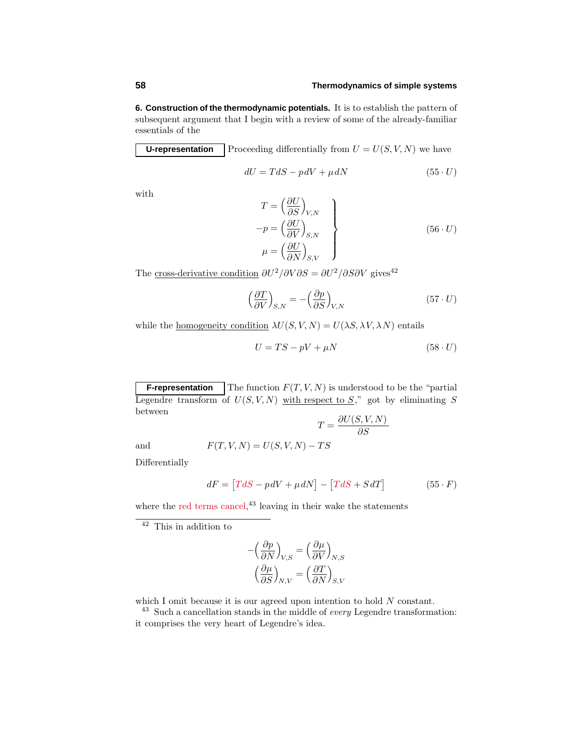**6. Construction of the thermodynamic potentials.** It is to establish the pattern of subsequent argument that I begin with a review of some of the already-familiar essentials of the

**U-representation** Proceeding differentially from  $U = U(S, V, N)$  we have

$$
dU = TdS - pdV + \mu dN \qquad (55 \cdot U)
$$

with

$$
T = \left(\frac{\partial U}{\partial S}\right)_{V,N}
$$
  
\n
$$
-p = \left(\frac{\partial U}{\partial V}\right)_{S,N}
$$
  
\n
$$
\mu = \left(\frac{\partial U}{\partial N}\right)_{S,V}
$$
\n(56 · U)

The <u>cross-derivative condition</u>  $\partial U^2/\partial V \partial S = \partial U^2/\partial S \partial V$  gives<sup>42</sup>

$$
\left(\frac{\partial T}{\partial V}\right)_{S,N} = -\left(\frac{\partial p}{\partial S}\right)_{V,N} \tag{57. U}
$$

while the <u>homogeneity condition</u>  $\lambda U(S, V, N) = U(\lambda S, \lambda V, \lambda N)$  entails

$$
U = TS - pV + \mu N \tag{58} \cdot U
$$

**F-representation** The function  $F(T, V, N)$  is understood to be the "partial" Legendre transform of  $U(S, V, N)$  with respect to *S*," got by eliminating *S* between

$$
T = \frac{\partial U(S, V, N)}{\partial S}
$$
 and 
$$
F(T, V, N) = U(S, V, N) - TS
$$

Differentially

$$
dF = [TdS - pdV + \mu dN] - [TdS + SdT]
$$
 (55 · F)

where the red terms cancel,  $43$  leaving in their wake the statements

$$
-\left(\frac{\partial p}{\partial N}\right)_{V,S} = \left(\frac{\partial \mu}{\partial V}\right)_{N,S}
$$

$$
\left(\frac{\partial \mu}{\partial S}\right)_{N,V} = \left(\frac{\partial T}{\partial N}\right)_{S,V}
$$

which I omit because it is our agreed upon intention to hold  $N$  constant.

 $^{43}$  Such a cancellation stands in the middle of  $\it every$  Legendre transformation: it comprises the very heart of Legendre's idea.

 $\overline{42}$  This in addition to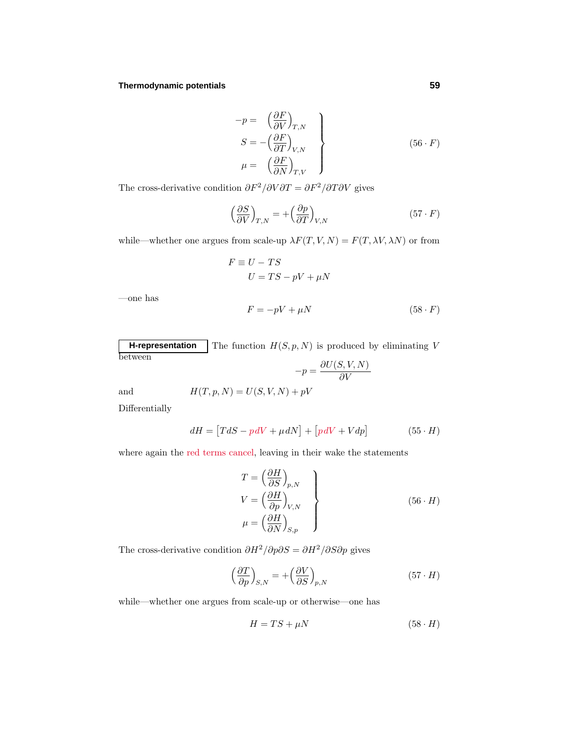#### **Thermodynamic potentials 59**

$$
\begin{aligned}\n-p &= \left(\frac{\partial F}{\partial V}\right)_{T,N} \\
S &= -\left(\frac{\partial F}{\partial T}\right)_{V,N} \\
\mu &= \left(\frac{\partial F}{\partial N}\right)_{T,V}\n\end{aligned}\n\tag{56. F}
$$

The cross-derivative condition  $\partial F^2/\partial V \partial T = \partial F^2/\partial T \partial V$  gives

$$
\left(\frac{\partial S}{\partial V}\right)_{T,N} = +\left(\frac{\partial p}{\partial T}\right)_{V,N} \tag{57. F}
$$

while—whether one argues from scale-up  $\lambda F(T, V, N) = F(T, \lambda V, \lambda N)$  or from

$$
F \equiv U - TS
$$
  

$$
U = TS - pV + \mu N
$$

—one has

$$
F = -pV + \mu N \tag{58} \cdot F
$$

**H-representation** The function  $H(S, p, N)$  is produced by eliminating V between  $\partial U(S, V, N)$ 

$$
-p = \frac{p - p}{\frac{\partial V}{\partial V}}
$$
 and 
$$
H(T, p, N) = U(S, V, N) + pV
$$

Differentially

$$
dH = [TdS - p dV + \mu dN] + [pdV + Vdp] \qquad (55 \cdot H)
$$

where again the red terms cancel, leaving in their wake the statements

$$
T = \left(\frac{\partial H}{\partial S}\right)_{p,N}
$$
  
\n
$$
V = \left(\frac{\partial H}{\partial p}\right)_{V,N}
$$
  
\n
$$
\mu = \left(\frac{\partial H}{\partial N}\right)_{S,p}
$$
\n(56 · H)

The cross-derivative condition  $\partial H^2/\partial p \partial S = \partial H^2/\partial S \partial p$  gives

$$
\left(\frac{\partial T}{\partial p}\right)_{S,N} = +\left(\frac{\partial V}{\partial S}\right)_{p,N} \tag{57. H}
$$

while—whether one argues from scale-up or otherwise—one has

$$
H = TS + \mu N \tag{58} \cdot H
$$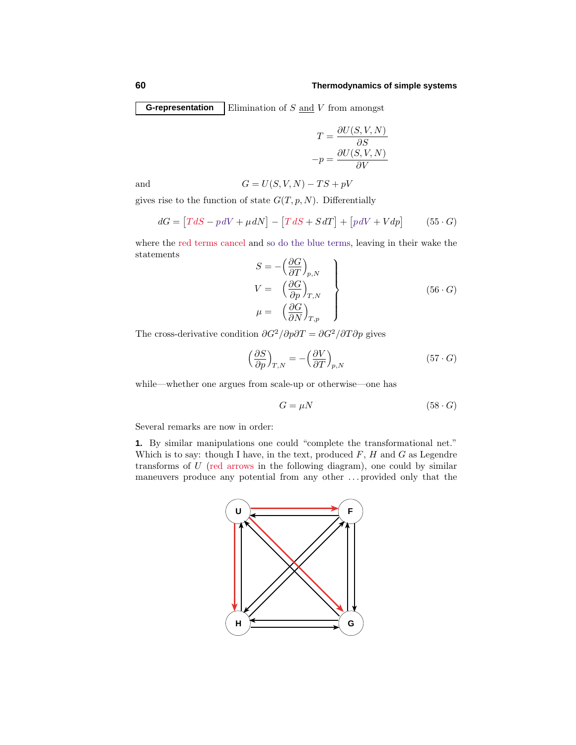**G-representation** Elimination of *S* and *V* from amongst

$$
T = \frac{\partial U(S, V, N)}{\partial S}
$$

$$
-p = \frac{\partial U(S, V, N)}{\partial V}
$$

and  $G = U(S, V, N) - TS + pV$ 

gives rise to the function of state  $G(T, p, N)$ . Differentially

$$
dG = [TdS - p dV + \mu dN] - [TdS + SdT] + [pdV + Vdp]
$$
 (55 · G)

where the red terms cancel and so do the blue terms, leaving in their wake the statements

$$
S = -\left(\frac{\partial G}{\partial T}\right)_{p,N}
$$
  
\n
$$
V = \left(\frac{\partial G}{\partial p}\right)_{T,N}
$$
  
\n
$$
\mu = \left(\frac{\partial G}{\partial N}\right)_{T,p}
$$
\n(56. G)

The cross-derivative condition  $\partial G^2/\partial p \partial T = \partial G^2/\partial T \partial p$  gives

$$
\left(\frac{\partial S}{\partial p}\right)_{T,N} = -\left(\frac{\partial V}{\partial T}\right)_{p,N} \tag{57. G}
$$

while—whether one argues from scale-up or otherwise—one has

$$
G = \mu N \tag{58} \cdot G
$$

Several remarks are now in order:

**1.** By similar manipulations one could"complete the transformational net." Which is to say: though I have, in the text, produced *F*, *H* and *G* as Legendre transforms of *U* (red arrows in the following diagram), one could by similar maneuvers produce any potential from any other *...* provided only that the

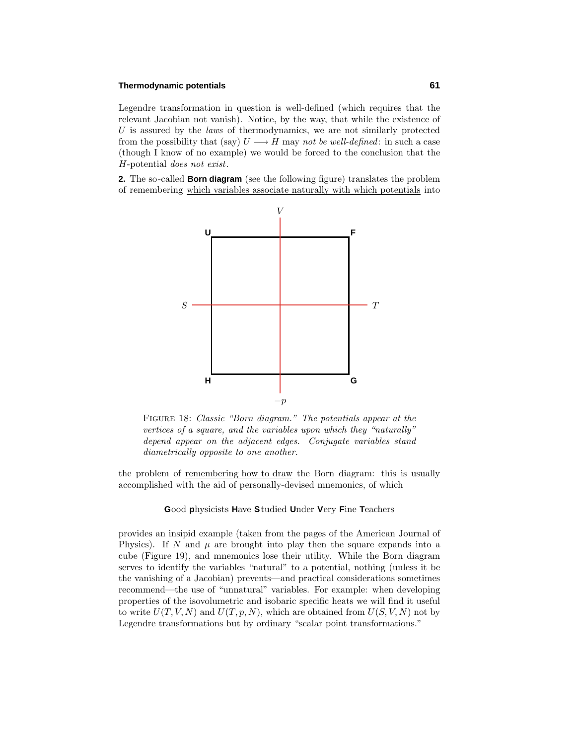#### **Thermodynamic potentials 61**

Legendre transformation in question is well-defined (which requires that the relevant Jacobian not vanish). Notice, by the way, that while the existence of U is assured by the *laws* of thermodynamics, we are not similarly protected from the possibility that (say)  $U \longrightarrow H$  may not be well-defined: in such a case  $(hough I know of no example) we would be forced to the conclusion that the$ *H*-potential does not exist.

**2.** The so-called **Born diagram** (see the following figure) translates the problem of remembering which variables associate naturally with which potentials into



Figure 18: Classic "Born diagram." The potentials appear at the vertices of a square, and the variables upon which they "naturally" depend appear on the adjacent edges. Conjugate variables stand diametrically opposite to one another.

the problem of remembering how to draw the Born diagram: this is usually accomplished with the aid of personally-devised mnemonics, of which

#### **G**ood **p**hysicists **H**ave **S**tudied **U**nder **V**ery **F**ine **T**eachers

provides an insipid example (taken from the pages of the American Journal of Physics). If *N* and  $\mu$  are brought into play then the square expands into a cube (Figure 19), andmnemonics lose their utility. While the Born diagram serves to identify the variables "natural" to a potential, nothing (unless it be the vanishing of a Jacobian) prevents—andpractical considerations sometimes recommend—the use of "unnatural" variables. For example: when developing properties of the isovolumetric and isobaric specific heats we will find it useful to write  $U(T, V, N)$  and  $U(T, p, N)$ , which are obtained from  $U(S, V, N)$  not by Legendre transformations but by ordinary "scalar point transformations."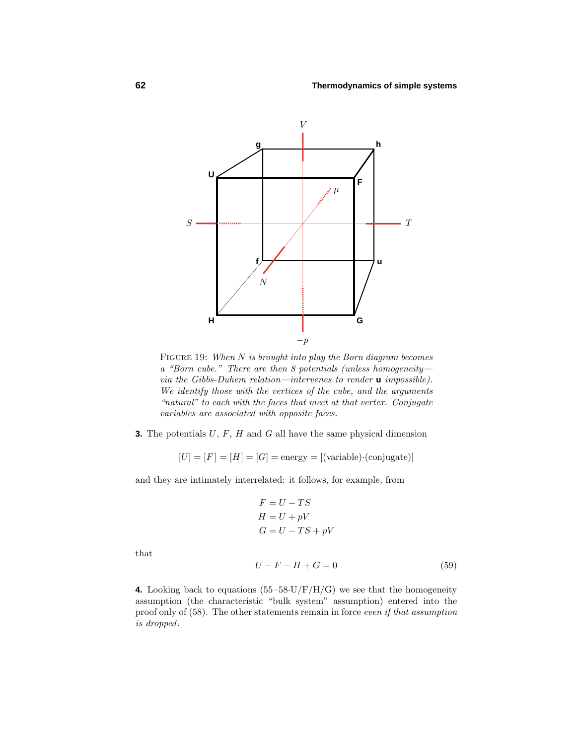

FIGURE 19: When *N* is brought into play the Born diagram becomes a "Born cube." There are then 8 potentials (unless homogeneity via the Gibbs-Duhem relation—intervenes to render **u** impossible). We identify those with the vertices of the cube, and the arguments "natural" to each with the faces that meet at that vertex. Conjugate variables are associated with opposite faces.

**3.** The potentials *U*, *F*, *H* and *G* all have the same physical dimension

 $[U] = [F] = [H] = [G] = \text{energy} = [(\text{variable}) \cdot (\text{conjugate})]$ 

and they are intimately interrelated: it follows, for example, from

$$
F = U - TS
$$
  
H = U + pV  
G = U - TS + pV

that

$$
U - F - H + G = 0 \tag{59}
$$

**4.** Looking back to equations  $(55-58\text{·U/F/H/G})$  we see that the homogeneity assumption (the characteristic "bulk system" assumption) entered into the proof only of (58). The other statements remain in force even if that assumption is dropped.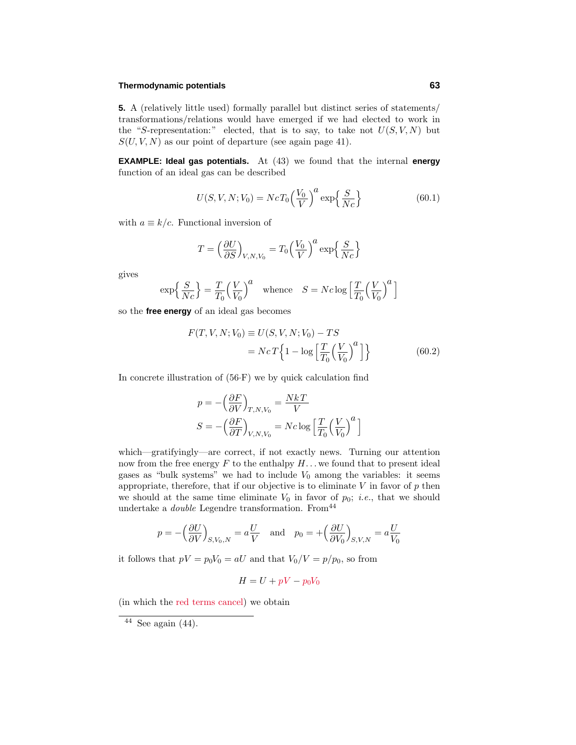#### **Thermodynamic potentials 63**

**5.** A (relatively little used) formally parallel but distinct series of statements/ transformations/relations would have emerged if we had elected to work in the "*S*-representation:" elected, that is to say, to take not  $U(S, V, N)$  but  $S(U, V, N)$  as our point of departure (see again page 41).

**EXAMPLE: Ideal gas potentials.** At (43) we found that the internal **energy** function of an ideal gas can be described

$$
U(S, V, N; V_0) = NcT_0 \left(\frac{V_0}{V}\right)^a \exp\left\{\frac{S}{Nc}\right\}
$$
 (60.1)

with  $a \equiv k/c$ . Functional inversion of

$$
T = \left(\frac{\partial U}{\partial S}\right)_{V, N, V_0} = T_0 \left(\frac{V_0}{V}\right)^a \exp\left\{\frac{S}{Nc}\right\}
$$

gives

$$
\exp\left\{\frac{S}{Nc}\right\} = \frac{T}{T_0} \left(\frac{V}{V_0}\right)^a \quad \text{whence} \quad S = Nc \log\left[\frac{T}{T_0} \left(\frac{V}{V_0}\right)^a\right]
$$

so the **free energy** of an ideal gas becomes

$$
F(T, V, N; V_0) \equiv U(S, V, N; V_0) - TS
$$

$$
= NcT \left\{ 1 - \log \left[ \frac{T}{T_0} \left( \frac{V}{V_0} \right)^a \right] \right\}
$$
(60.2)

In concrete illustration of  $(56·F)$  we by quick calculation find

$$
p = -\left(\frac{\partial F}{\partial V}\right)_{T,N,V_0} = \frac{NkT}{V}
$$

$$
S = -\left(\frac{\partial F}{\partial T}\right)_{V,N,V_0} = Nc \log \left[\frac{T}{T_0} \left(\frac{V}{V_0}\right)^a\right]
$$

which—gratifyingly—are correct, if not exactly news. Turning our attention now from the free energy  $F$  to the enthalpy  $H$ ... we found that to present ideal gases as "bulk systems" we had to include  $V_0$  among the variables: it seems appropriate, therefore, that if our objective is to eliminate  $V$  in favor of  $p$  then we should at the same time eliminate  $V_0$  in favor of  $p_0$ ; *i.e.*, that we should undertake a *double* Legendre transformation. From  $44$ 

$$
p = -\left(\frac{\partial U}{\partial V}\right)_{S,V_0,N} = a\frac{U}{V}
$$
 and  $p_0 = +\left(\frac{\partial U}{\partial V_0}\right)_{S,V,N} = a\frac{U}{V_0}$ 

it follows that  $pV = p_0V_0 = aU$  and that  $V_0/V = p/p_0$ , so from

$$
H = U + pV - p_0V_0
$$

(in which the red terms cancel) we obtain

 $\overline{44}$  See again (44).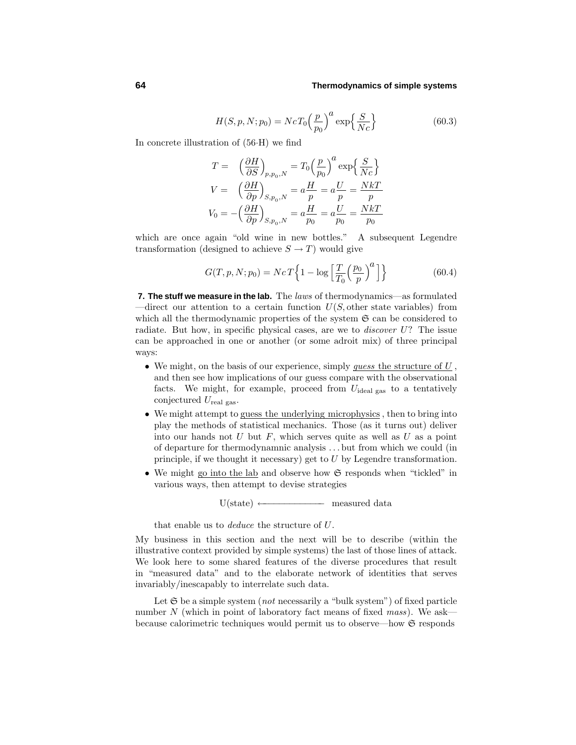$$
H(S, p, N; p_0) = NcT_0 \left(\frac{p}{p_0}\right)^a \exp\left\{\frac{S}{Nc}\right\}
$$
\n(60.3)

In concrete illustration of (56·H) we find

$$
T = \left(\frac{\partial H}{\partial S}\right)_{p,p_0,N} = T_0 \left(\frac{p}{p_0}\right)^a \exp\left\{\frac{S}{Nc}\right\}
$$
  

$$
V = \left(\frac{\partial H}{\partial p}\right)_{S,p_0,N} = a\frac{H}{p} = a\frac{U}{p} = \frac{NkT}{p}
$$
  

$$
V_0 = -\left(\frac{\partial H}{\partial p}\right)_{S,p_0,N} = a\frac{H}{p_0} = a\frac{U}{p_0} = \frac{NkT}{p_0}
$$

which are once again "old wine in new bottles." A subsequent Legendre transformation (designed to achieve  $S \to T$ ) would give

$$
G(T, p, N; p_0) = NcT \left\{ 1 - \log \left[ \frac{T}{T_0} \left( \frac{p_0}{p} \right)^a \right] \right\}
$$
 (60.4)

**7. The stuff we measure in the lab.** The laws of thermodynamics—as formulated —direct our attention to a certain function *U*(*S,* other state variables) from which all the thermodynamic properties of the system  $\mathfrak{S}$  can be considered to radiate. But how, in specific physical cases, are we to discover *U*? The issue can be approached in one or another (or some adroit mix) of three principal ways:

- We might, on the basis of our experience, simply guess the structure of *U* , and then see how implications of our guess compare with the observational facts. We might, for example, proceed from  $U_{\text{ideal gas}}$  to a tentatively conjectured *U*real gas.
- We might attempt to guess the underlying microphysics, then to bring into play the methods of statistical mechanics. Those (as it turns out) deliver into our hands not *U* but *F*, which serves quite as well as *U* as a point of departure for thermodynamnic analysis *...* but from which we could(in principle, if we thought it necessary) get to *U* by Legendre transformation.
- We might go into the lab and observe how G responds when "tickled" in various ways, then attempt to devise strategies

 $U(\text{state}) \longleftarrow$  measured data

that enable us to deduce the structure of *U*.

My business in this section andthe next will be to describe (within the illustrative context provided by simple systems) the last of those lines of attack. We look here to some shared features of the diverse procedures that result in "measured data" and to the elaborate network of identities that serves invariably/inescapably to interrelate such data.

Let  $\mathfrak S$  be a simple system (*not* necessarily a "bulk system") of fixed particle number  $N$  (which in point of laboratory fact means of fixed mass). We ask because calorimetric techniques would permit us to observe—how  $\mathfrak S$  responds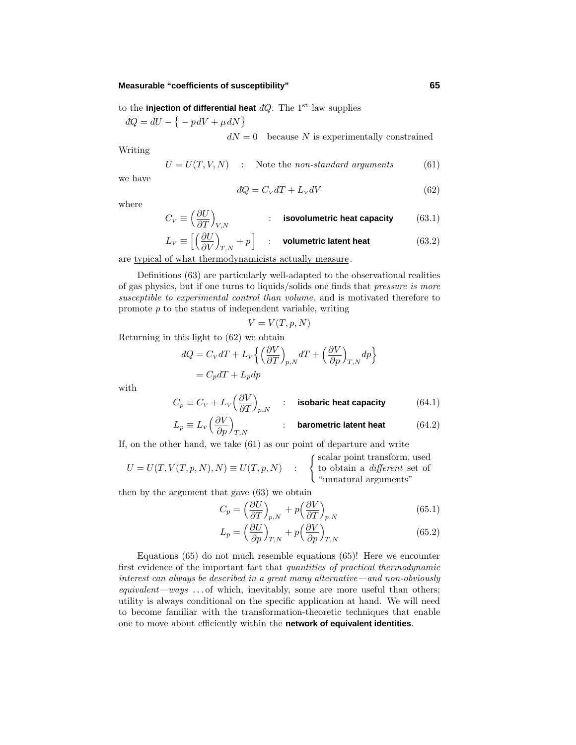#### **Measurable "coefficients of susceptibility" 65**

to the **injection of differential heat**  $dQ$ . The 1<sup>st</sup> law supplies

 $dQ = dU - \{-pdV + \mu dN\}$ 

 $dN = 0$  because *N* is experimentally constrained

Writing

$$
U = U(T, V, N) \quad : \quad \text{Note the non-standard arguments} \tag{61}
$$

we have

$$
dQ = C_V dT + L_V dV \tag{62}
$$

where

$$
C_V \equiv \left(\frac{\partial U}{\partial T}\right)_{V,N} \qquad \qquad : \quad \text{isovolumetric heat capacity} \qquad (63.1)
$$

$$
L_V \equiv \left[ \left( \frac{\partial U}{\partial V} \right)_{T,N} + p \right] \quad : \quad \text{volumetric latent heat} \tag{63.2}
$$

are typical of what thermodynamicists actually measure.

Definitions (63) are particularly well-adapted to the observational realities of gas physics, but if one turns to liquids/solids one finds that pressure is more susceptible to experimental control than volume, and is motivated therefore to promote *p* to the status of independent variable, writing

$$
V = V(T, p, N)
$$

Returning in this light to (62) we obtain

$$
dQ = C_V dT + L_V \left\{ \left( \frac{\partial V}{\partial T} \right)_{p,N} dT + \left( \frac{\partial V}{\partial p} \right)_{T,N} dp \right\}
$$
  
=  $C_p dT + L_p dp$ 

with

$$
C_p \equiv C_V + L_V \left(\frac{\partial V}{\partial T}\right)_{p,N} \qquad \text{: isobaric heat capacity} \tag{64.1}
$$
\n
$$
L_p \equiv L_V \left(\frac{\partial V}{\partial p}\right)_{T,N} \qquad \text{: barometric latent heat} \tag{64.2}
$$

If, on the other hand, we take (61) as our point of departure and write

$$
U = U(T, V(T, p, N), N) \equiv U(T, p, N) : \begin{cases} \text{scalar point transform, used} \\ \text{to obtain a different set of} \\ \text{"unnatural arguments"} \end{cases}
$$

then by the argument that gave (63) we obtain

$$
C_p = \left(\frac{\partial U}{\partial T}\right)_{p,N} + p\left(\frac{\partial V}{\partial T}\right)_{p,N} \tag{65.1}
$$

$$
L_p = \left(\frac{\partial U}{\partial p}\right)_{T,N} + p\left(\frac{\partial V}{\partial p}\right)_{T,N} \tag{65.2}
$$

Equations (65) do not much resemble equations (65)! Here we encounter first evidence of the important fact that quantities of practical thermodynamic interest can always be described in a great many alternative—and non-obviously equivalent—ways *...* of which, inevitably, some are more useful than others; utility is always conditional on the specific application at hand. We will need to become familiar with the transformation-theoretic techniques that enable one to move about efficiently within the **network of equivalent identities**.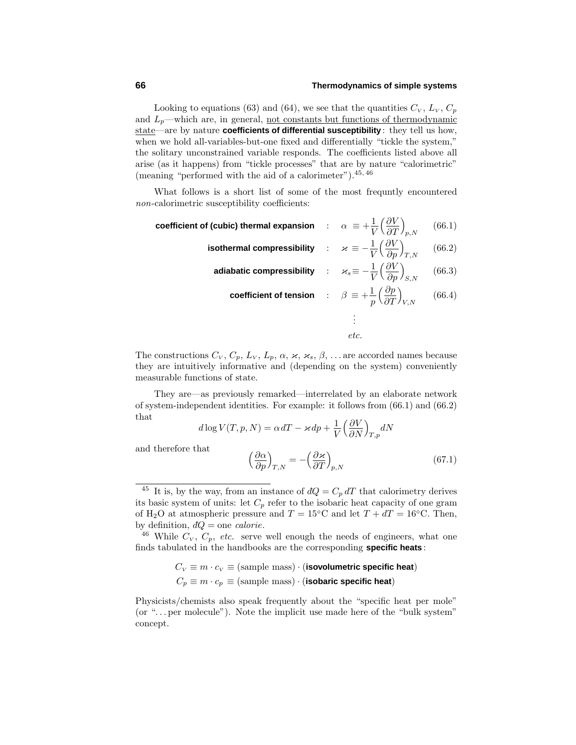Looking to equations (63) and (64), we see that the quantities  $C_V$ ,  $L_V$ ,  $C_p$ and  $L_p$ —which are, in general, <u>not constants but functions of thermodynamic</u> state—are by nature **coefficients of differential susceptibility** : they tell us how, when we hold all-variables-but-one fixed and differentially "tickle the system," the solitary unconstrained variable responds. The coefficients listed above all arise (as it happens) from "tickle processes" that are by nature "calorimetric" (meaning "performed with the aid of a calorimeter").<sup>45,46</sup>

What follows is a short list of some of the most frequntly encountered non-calorimetric susceptibility coefficients:

 $\textbf{coefficient of (cubic) thermal expansion} \quad : \quad \alpha \ \equiv + \frac{1}{V}$ -*∂V ∂T*  $\setminus$ *p,N* (66*.*1)

isothermal compressibility : 
$$
\varkappa \equiv -\frac{1}{V} \left( \frac{\partial V}{\partial p} \right)_{T,N}
$$
 (66.2)

**adiabatic compressibility** : 
$$
\varkappa_s \equiv -\frac{1}{V} \left( \frac{\partial V}{\partial p} \right)_{S,N}
$$
 (66.3)

$$
\text{coefficient of tension} \qquad : \qquad \beta \equiv +\frac{1}{p} \left( \frac{\partial p}{\partial T} \right)_{V,N} \qquad (66.4)
$$
\n
$$
: \qquad \qquad
$$

. etc.

The constructions  $C_V$ ,  $C_p$ ,  $L_V$ ,  $L_p$ ,  $\alpha$ ,  $\varkappa$ ,  $\varkappa_s$ ,  $\beta$ , ... are accorded names because they are intuitively informative and (depending on the system) conveniently measurable functions of state.

They are—as previously remarked—interrelated by an elaborate network of system-independent identities. For example: it follows from (66.1) and (66.2) that

$$
d \log V(T, p, N) = \alpha dT - \varkappa dp + \frac{1}{V} \left(\frac{\partial V}{\partial N}\right)_{T, p} dN
$$

and therefore that

$$
\left(\frac{\partial \alpha}{\partial p}\right)_{T,N} = -\left(\frac{\partial \varkappa}{\partial T}\right)_{p,N} \tag{67.1}
$$

<sup>46</sup> While  $C_V$ ,  $C_p$ , etc. serve well enough the needs of engineers, what one finds tabulated in the handbooks are the corresponding **specific heats** :

$$
C_V \equiv m \cdot c_V \equiv \text{(sample mass)} \cdot \text{(isovolumetric specific heat)}
$$

$$
C_p \equiv m \cdot c_p \equiv \text{(sample mass)} \cdot \text{(isobaric specific heat)}
$$

Physicists/chemists also speak frequently about the "specific heat per mole" (or "*...* per molecule"). Note the implicit use made here of the "bulk system" concept.

<sup>&</sup>lt;sup>45</sup> It is, by the way, from an instance of  $dQ = C_p dT$  that calorimetry derives its basic system of units: let  $C_p$  refer to the isobaric heat capacity of one gram of H<sub>2</sub>O at atmospheric pressure and  $T = 15\degree C$  and let  $T + dT = 16\degree C$ . Then, by definition,  $dQ =$  one *calorie*.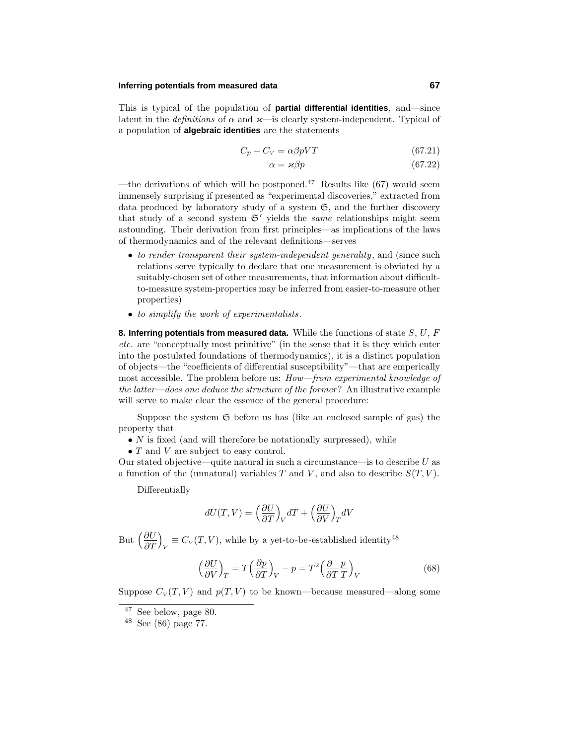#### **Inferring potentials from measured data 67**

This is typical of the population of **partial differential identities**, and—since latent in the *definitions* of  $\alpha$  and  $\varkappa$ —is clearly system-independent. Typical of a population of **algebraic identities** are the statements

$$
C_p - C_V = \alpha \beta p V T \tag{67.21}
$$

$$
\alpha = \varkappa \beta p \tag{67.22}
$$

—the derivations of which will be postponed.<sup>47</sup> Results like  $(67)$  would seem immensely surprising if presented as "experimental discoveries," extracted from data produced by laboratory study of a system  $\mathfrak{S}$ , and the further discovery that study of a second system  $\mathfrak{S}'$  yields the *same* relationships might seem astounding. Their derivation from first principles—as implications of the laws of thermodynamics and of the relevant definitions—serves

- to render transparent their system-independent generality, and (since such relations serve typically to declare that one measurement is obviated by a suitably-chosen set of other measurements, that information about difficultto-measure system-properties may be inferred from easier-to-measure other properties)
- to simplify the work of experimentalists.

**8. Inferring potentials from measured data.** While the functions of state *S*, *U*, *F* etc. are "conceptually most primitive" (in the sense that it is they which enter into the postulated foundations of thermodynamics), it is a distinct population of objects—the "coefficients of differential susceptibility"—that are emperically most accessible. The problem before us: How—from experimental knowledge of the latter—does one deduce the structure of the former? An illustrative example will serve to make clear the essence of the general procedure:

Suppose the system  $\mathfrak S$  before us has (like an enclosed sample of gas) the property that

- $N$  is fixed (and will therefore be notationally surpressed), while
- *T* and *V* are subject to easy control.

Our statedobjective—quite natural in such a circumstance—is to describe *U* as a function of the (unnatural) variables  $T$  and  $V$ , and also to describe  $S(T, V)$ .

Differentially

$$
dU(T,V) = \left(\frac{\partial U}{\partial T}\right)_V dT + \left(\frac{\partial U}{\partial V}\right)_T dV
$$

But  $\left(\frac{\partial U}{\partial x}\right)$ *∂T*  $\setminus$  $V = C_V(T, V)$ , while by a yet-to-be-established identity<sup>48</sup>

$$
\left(\frac{\partial U}{\partial V}\right)_T = T\left(\frac{\partial p}{\partial T}\right)_V - p = T^2 \left(\frac{\partial}{\partial T} \frac{p}{T}\right)_V \tag{68}
$$

Suppose  $C_V(T, V)$  and  $p(T, V)$  to be known—because measured—along some

<sup>47</sup> See below, page 80.

<sup>48</sup> See (86) page 77.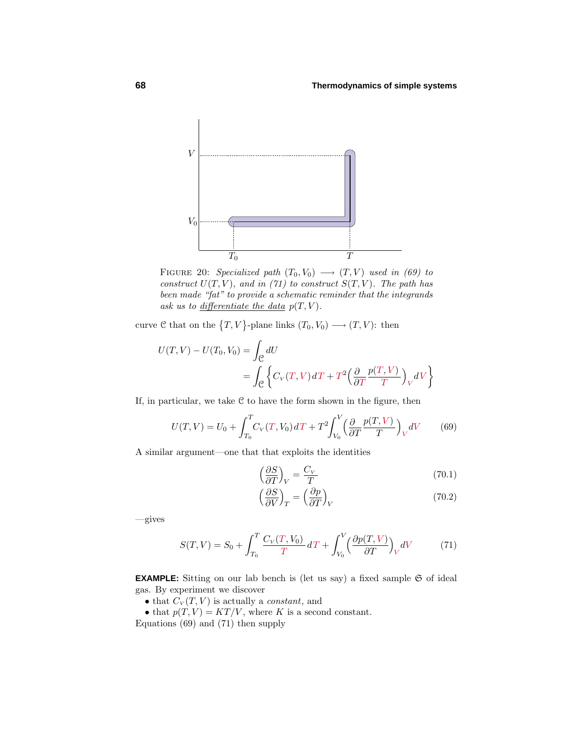

FIGURE 20: Specialized path  $(T_0, V_0) \longrightarrow (T, V)$  used in (69) to construct  $U(T, V)$ , and in (71) to construct  $S(T, V)$ . The path has been made "fat" to provide a schematic reminder that the integrands ask us to <u>differentiate</u> the data  $p(T, V)$ .

curve  $C$  that on the  $\{T, V\}$ -plane links  $(T_0, V_0) \longrightarrow (T, V)$ : then

$$
U(T, V) - U(T_0, V_0) = \int_{\mathcal{C}} dU
$$
  
= 
$$
\int_{\mathcal{C}} \left\{ C_V(T, V) dT + T^2 \left( \frac{\partial}{\partial T} \frac{p(T, V)}{T} \right)_V dV \right\}
$$

If, in particular, we take  $C$  to have the form shown in the figure, then

$$
U(T,V) = U_0 + \int_{T_0}^{T} C_V(T,V_0) dT + T^2 \int_{V_0}^{V} \left(\frac{\partial}{\partial T} \frac{p(T,V)}{T}\right)_V dV \tag{69}
$$

A similar argument—one that that exploits the identities

$$
\left(\frac{\partial S}{\partial T}\right)_V = \frac{C_V}{T} \tag{70.1}
$$

$$
\left(\frac{\partial S}{\partial V}\right)_T = \left(\frac{\partial p}{\partial T}\right)_V\tag{70.2}
$$

—gives

$$
S(T,V) = S_0 + \int_{T_0}^{T} \frac{C_V(T,V_0)}{T} dT + \int_{V_0}^{V} \left(\frac{\partial p(T,V)}{\partial T}\right)_V dV \tag{71}
$$

**EXAMPLE:** Sitting on our lab bench is (let us say) a fixed sample  $\mathfrak{S}$  of ideal gas. By experiment we discover

• that  $C_V(T, V)$  is actually a *constant*, and

• that  $p(T, V) = KT/V$ , where *K* is a second constant.

Equations  $(69)$  and  $(71)$  then supply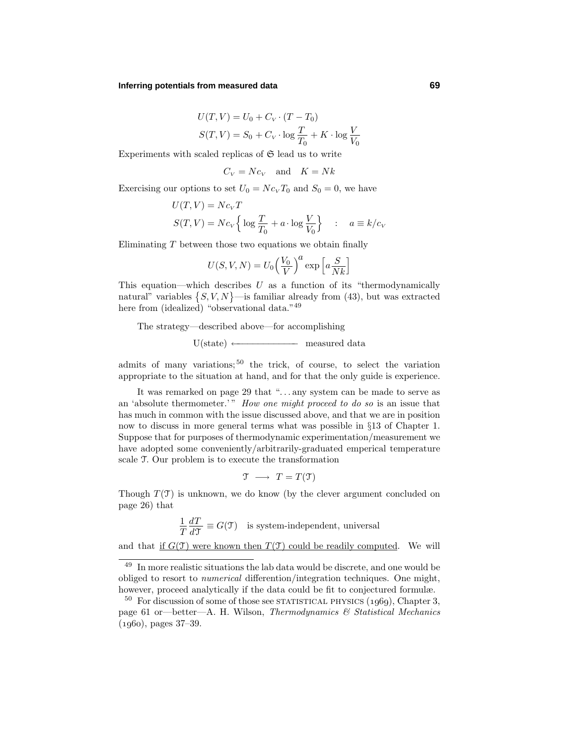#### **Inferring potentials from measured data 69**

$$
U(T, V) = U_0 + C_V \cdot (T - T_0)
$$
  

$$
S(T, V) = S_0 + C_V \cdot \log \frac{T}{T_0} + K \cdot \log \frac{V}{V_0}
$$

Experiments with scaled replicas of  $\mathfrak S$  lead us to write

$$
C_V = Nc_V \quad \text{and} \quad K = Nk
$$

Exercising our options to set  $U_0 = N c_V T_0$  and  $S_0 = 0$ , we have

$$
U(T, V) = Nc_V T
$$
  

$$
S(T, V) = Nc_V \left\{ \log \frac{T}{T_0} + a \cdot \log \frac{V}{V_0} \right\} \quad : \quad a \equiv k/c_V
$$

Eliminating *T* between those two equations we obtain finally

$$
U(S, V, N) = U_0 \left(\frac{V_0}{V}\right)^a \exp\left[a\frac{S}{Nk}\right]
$$

This equation—which describes *U* as a function of its "thermodynamically natural" variables  $\{S, V, N\}$ —is familiar already from (43), but was extracted here from (idealized) "observational data."<sup>49</sup>

The strategy—described above—for accomplishing

 $U(\text{state}) \longleftarrow$  measured data

admits of many variations;<sup>50</sup> the trick, of course, to select the variation appropriate to the situation at hand, and for that the only guide is experience.

It was remarked on page 29 that "...any system can be made to serve as an 'absolute thermometer.'" How one might proceed to do so is an issue that has much in common with the issue discussed above, and that we are in position now to discuss in more general terms what was possible in §13 of Chapter 1. Suppose that for purposes of thermodynamic experimentation/measurement we have adopted some conveniently/arbitrarily-graduated emperical temperature scale T. Our problem is to execute the transformation

$$
\mathfrak{T} \longrightarrow T = T(\mathfrak{T})
$$

Though  $T(\mathcal{T})$  is unknown, we do know (by the clever argument concluded on page 26) that

$$
\frac{1}{T}\frac{dT}{d\mathcal{T}} \equiv G(\mathcal{T})
$$
 is system-independent, universal

and that if  $G(\mathcal{T})$  were known then  $T(\mathcal{T})$  could be readily computed. We will

<sup>49</sup> In more realistic situations the lab data would be discrete, and one would be obliged to resort to *numerical* differention/integration techniques. One might, however, proceed analytically if the data could be fit to conjectured formulæ.

 $50$  For discussion of some of those see STATISTICAL PHYSICS  $(1969)$ , Chapter 3, page 61 or—better—A. H. Wilson, Thermodynamics & Statistical Mechanics  $(1960)$ , pages  $37-39$ .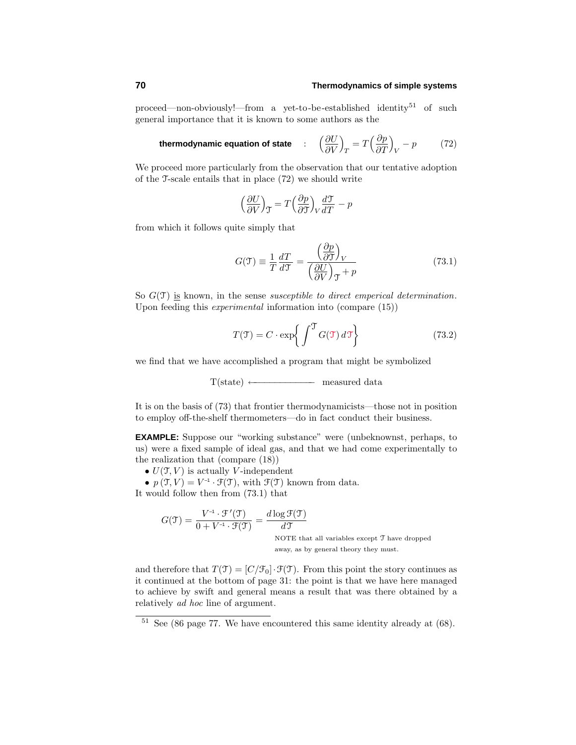proceed—non-obviously!—from a yet-to-be-established identity<sup>51</sup> of such general importance that it is known to some authors as the

**thermodynamic equation of state** : 
$$
\left(\frac{\partial U}{\partial V}\right)_T = T\left(\frac{\partial p}{\partial T}\right)_V - p
$$
 (72)

We proceed more particularly from the observation that our tentative adoption of the  $\mathcal{T}$ -scale entails that in place  $(72)$  we should write

$$
\left(\frac{\partial U}{\partial V}\right)_{\mathcal{T}} = T\left(\frac{\partial p}{\partial \mathcal{T}}\right)_{V} \frac{d\mathcal{T}}{dT} - p
$$

from which it follows quite simply that

$$
G(\mathcal{T}) \equiv \frac{1}{T} \frac{dT}{d\mathcal{T}} = \frac{\left(\frac{\partial p}{\partial \mathcal{T}}\right)_V}{\left(\frac{\partial U}{\partial V}\right)_\mathcal{T} + p} \tag{73.1}
$$

So  $G(\mathfrak{I})$  is known, in the sense *susceptible to direct emperical determination*. Upon feeding this experimental information into (compare (15))

$$
T(\mathcal{T}) = C \cdot \exp\left\{ \int_{-\infty}^{\infty} G(\mathcal{T}) d\mathcal{T} \right\}
$$
 (73.2)

we find that we have accomplished a program that might be symbolized

$$
T(state) \longleftarrow \hspace{2.5cm} measured\ data
$$

It is on the basis of (73) that frontier thermodynamicists—those not in position to employ off-the-shelf thermometers—do in fact conduct their business.

**EXAMPLE:** Suppose our "working substance" were (unbeknownst, perhaps, to us) were a fixed sample of ideal gas, and that we had come experimentally to the realization that (compare (18))

•  $U(\mathfrak{T}, V)$  is actually *V*-independent

•  $p(\mathfrak{T}, V) = V^{-1} \cdot \mathfrak{F}(\mathfrak{T})$ , with  $\mathfrak{F}(\mathfrak{T})$  known from data.

It would follow then from  $(73.1)$  that

$$
G(\mathcal{T}) = \frac{V^{-1} \cdot \mathcal{F}'(\mathcal{T})}{0 + V^{-1} \cdot \mathcal{F}(\mathcal{T})} = \frac{d \log \mathcal{F}(\mathcal{T})}{d \mathcal{T}}
$$
  
NOTE that all variables except  $\mathcal{T}$  have dropped away, as by general theory they must.

and therefore that  $T(\mathcal{T})=[C/\mathcal{F}_0]\cdot \mathcal{F}(\mathcal{T})$ . From this point the story continues as it continuedat the bottom of page 31: the point is that we have here managed to achieve by swift and general means a result that was there obtained by a relatively ad hoc line of argument.

 $51$  See (86 page 77. We have encountered this same identity already at (68).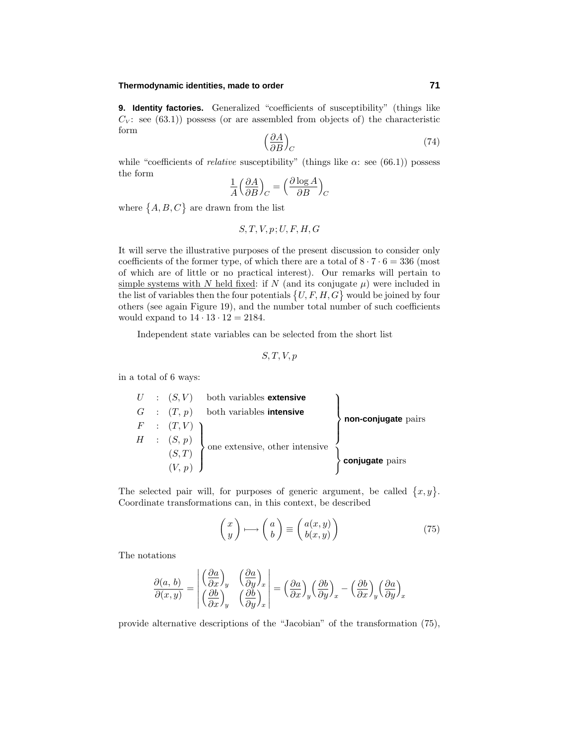### **Thermodynamic identities, made to order 71**

**9. Identity factories.** Generalized "coefficients of susceptibility" (things like  $C_V$ : see (63.1)) possess (or are assembled from objects of) the characteristic form

$$
\left(\frac{\partial A}{\partial B}\right)_C\tag{74}
$$

while "coefficients of *relative* susceptibility" (things like  $\alpha$ : see (66.1)) possess the form

$$
\frac{1}{A} \left( \frac{\partial A}{\partial B} \right)_C = \left( \frac{\partial \log A}{\partial B} \right)_C
$$

where  $\{A, B, C\}$  are drawn from the list

$$
S, T, V, p; U, F, H, G
$$

It will serve the illustrative purposes of the present discussion to consider only coefficients of the former type, of which there are a total of  $8 \cdot 7 \cdot 6 = 336$  (most of which are of little or no practical interest). Our remarks will pertain to simple systems with *N* held fixed: if *N* (and its conjugate  $\mu$ ) were included in the list of variables then the four potentials  $\{U, F, H, G\}$  would be joined by four others (see again Figure 19), and the number total number of such coefficients would expand to  $14 \cdot 13 \cdot 12 = 2184$ .

Independent state variables can be selected from the short list

$$
S,T,V,p
$$

in a total of 6 ways:

|  |                                                                                 | $U : (S, V)$ both variables extensive  |                     |
|--|---------------------------------------------------------------------------------|----------------------------------------|---------------------|
|  |                                                                                 | $G : (T, p)$ both variables intensive  |                     |
|  |                                                                                 |                                        | non-conjugate pairs |
|  | $\begin{array}{rcl} F & : & (T,V) \\ H & : & (S,\, p) \\ & & (S,T) \end{array}$ | $\cdot$ one extensive, other intensive |                     |
|  |                                                                                 |                                        |                     |
|  |                                                                                 |                                        | conjugate pairs     |

The selected pair will, for purposes of generic argument, be called  $\{x, y\}$ . Coordinate transformations can, in this context, be described

$$
\begin{pmatrix} x \\ y \end{pmatrix} \longmapsto \begin{pmatrix} a \\ b \end{pmatrix} \equiv \begin{pmatrix} a(x, y) \\ b(x, y) \end{pmatrix} \tag{75}
$$

The notations

$$
\frac{\partial(a, b)}{\partial(x, y)} = \begin{vmatrix} \left(\frac{\partial a}{\partial x}\right)_y & \left(\frac{\partial a}{\partial y}\right)_x \\ \left(\frac{\partial b}{\partial x}\right)_y & \left(\frac{\partial b}{\partial y}\right)_x \end{vmatrix} = \left(\frac{\partial a}{\partial x}\right)_y \left(\frac{\partial b}{\partial y}\right)_x - \left(\frac{\partial b}{\partial x}\right)_y \left(\frac{\partial a}{\partial y}\right)_x
$$

provide alternative descriptions of the "Jacobian" of the transformation (75),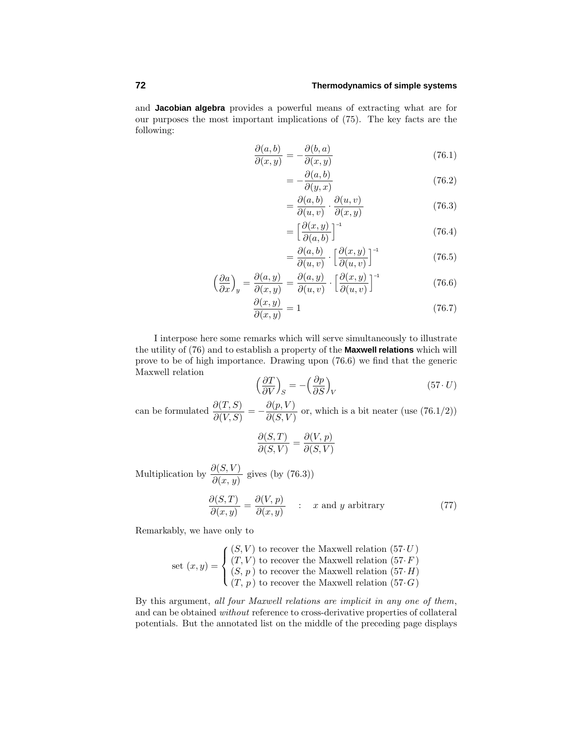and **Jacobian algebra** provides a powerful means of extracting what are for our purposes the most important implications of (75). The key facts are the following:

$$
\frac{\partial(a,b)}{\partial(x,y)} = -\frac{\partial(b,a)}{\partial(x,y)}
$$
(76.1)

$$
=-\frac{\partial(a,b)}{\partial(y,x)}\tag{76.2}
$$

$$
= \frac{\partial(a,b)}{\partial(u,v)} \cdot \frac{\partial(u,v)}{\partial(x,y)}
$$
(76.3)

$$
= \left[\frac{\partial(x,y)}{\partial(a,b)}\right]^{-1} \tag{76.4}
$$

$$
= \frac{\partial(a,b)}{\partial(u,v)} \cdot \left[\frac{\partial(x,y)}{\partial(u,v)}\right]^{-1} \tag{76.5}
$$

$$
\left(\frac{\partial a}{\partial x}\right)_y = \frac{\partial(a,y)}{\partial(x,y)} = \frac{\partial(a,y)}{\partial(u,v)} \cdot \left[\frac{\partial(x,y)}{\partial(u,v)}\right]^{-1}
$$
\n(76.6)

$$
\frac{\partial(x,y)}{\partial(x,y)} = 1\tag{76.7}
$$

I interpose here some remarks which will serve simultaneously to illustrate the utility of (76) and to establish a property of the **Maxwell relations** which will prove to be of high importance. Drawing upon  $(76.6)$  we find that the generic Maxwell relation

$$
\left(\frac{\partial T}{\partial V}\right)_S = -\left(\frac{\partial p}{\partial S}\right)_V\tag{57. U}
$$

can be formulated  $\frac{\partial(T, S)}{\partial(V, S)} = -\frac{\partial(p, V)}{\partial(S, V)}$  or, which is a bit neater (use (76.1/2))

$$
\frac{\partial(S,T)}{\partial(S,V)}=\frac{\partial(V,p)}{\partial(S,V)}
$$

Multiplication by  $\frac{\partial(S, V)}{\partial(x, y)}$  gives (by (76.3))

$$
\frac{\partial(S,T)}{\partial(x,y)} = \frac{\partial(V,p)}{\partial(x,y)} \qquad : \quad x \text{ and } y \text{ arbitrary}
$$
\n(77)

Remarkably, we have only to

set 
$$
(x, y) =
$$
\n
$$
\begin{cases}\n(S, V) \text{ to recover the Maxwell relation } (57 \cdot U) \\
(T, V) \text{ to recover the Maxwell relation } (57 \cdot F) \\
(S, p) \text{ to recover the Maxwell relation } (57 \cdot H) \\
(T, p) \text{ to recover the Maxwell relation } (57 \cdot G)\n\end{cases}
$$

By this argument, all four Maxwell relations are implicit in any one of them, and can be obtained without reference to cross-derivative properties of collateral potentials. But the annotated list on the middle of the preceding page displays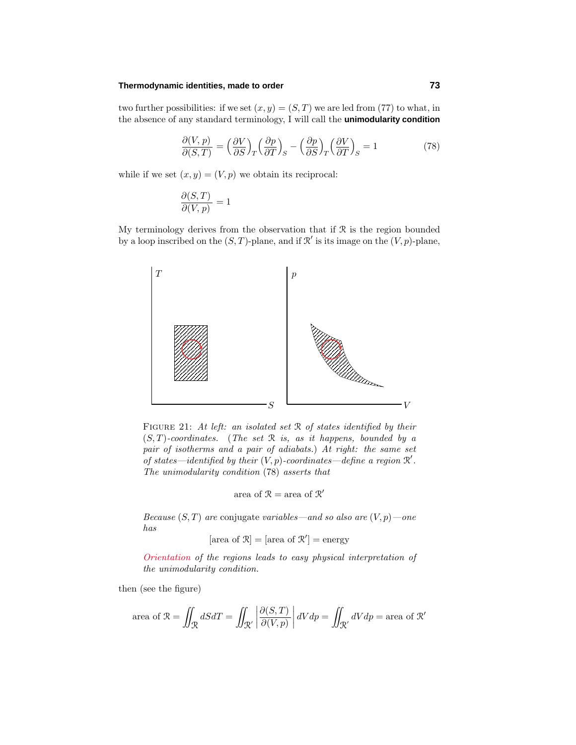#### **Thermodynamic identities, made to order 73**

two further possibilities: if we set  $(x, y) = (S, T)$  we are led from (77) to what, in the absence of any standard terminology, I will call the **unimodularity condition**

$$
\frac{\partial (V, p)}{\partial (S, T)} = \left(\frac{\partial V}{\partial S}\right)_T \left(\frac{\partial p}{\partial T}\right)_S - \left(\frac{\partial p}{\partial S}\right)_T \left(\frac{\partial V}{\partial T}\right)_S = 1\tag{78}
$$

while if we set  $(x, y) = (V, p)$  we obtain its reciprocal:

$$
\frac{\partial(S,T)}{\partial(V,p)} = 1
$$

My terminology derives from the observation that if  $R$  is the region bounded by a loop inscribed on the  $(S, T)$ -plane, and if  $\mathcal{R}'$  is its image on the  $(V, p)$ -plane,



FIGURE 21: At left: an isolated set  $\Re$  of states identified by their  $(S, T)$ -coordinates. (The set  $\Re$  is, as it happens, bounded by a pair of isotherms and a pair of adiabats.) At right: the same set of states—identified by their  $(V, p)$ -coordinates—define a region  $\mathcal{R}'$ . The unimodularity condition (78) asserts that

$$
area of R = area of R'
$$

Because  $(S, T)$  are conjugate variables—and so also are  $(V, p)$ —one has

$$
[\text{area of } \mathcal{R}] = [\text{area of } \mathcal{R}'] = \text{energy}
$$

Orientation of the regions leads to easy physical interpretation of the unimodularity condition.

then (see the figure)

area of 
$$
\mathcal{R} = \iint_{\mathcal{R}} dS dT = \iint_{\mathcal{R}'} \left| \frac{\partial(S, T)}{\partial(V, p)} \right| dV dp = \iint_{\mathcal{R}'} dV dp = \text{area of } \mathcal{R}'
$$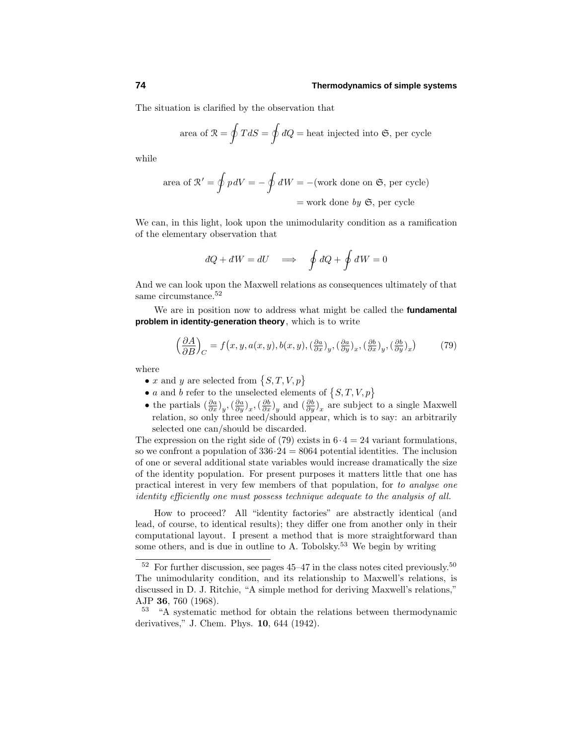The situation is clarified by the observation that

area of 
$$
\mathcal{R} = \oint T dS = \oint dQ
$$
 = heat injected into  $\mathfrak{S}$ , per cycle

while

area of 
$$
\mathcal{R}' = \oint p dV = -\oint dW = -(\text{work done on } \mathfrak{S}, \text{ per cycle})
$$
  
= work done by  $\mathfrak{S}, \text{ per cycle}$ 

We can, in this light, look upon the unimodularity condition as a ramification of the elementary observation that

$$
dQ + dW = dU \implies \oint dQ + \oint dW = 0
$$

And we can look upon the Maxwell relations as consequences ultimately of that same circumstance.<sup>52</sup>

We are in position now to address what might be called the **fundamental problem in identity-generation theory**, which is to write

$$
\left(\frac{\partial A}{\partial B}\right)_C = f\left(x, y, a(x, y), b(x, y), \left(\frac{\partial a}{\partial x}\right)_y, \left(\frac{\partial a}{\partial y}\right)_x, \left(\frac{\partial b}{\partial x}\right)_y, \left(\frac{\partial b}{\partial y}\right)_x\right) \tag{79}
$$

where

- $x$  and  $y$  are selected from  $\{S, T, V, p\}$
- *a* and *b* refer to the unselected elements of  $\{S, T, V, p\}$
- the partials  $(\frac{\partial a}{\partial x})_y$ ,  $(\frac{\partial a}{\partial y})_x$ ,  $(\frac{\partial b}{\partial x})_y$  and  $(\frac{\partial b}{\partial y})_x$  are subject to a single Maxwell relation, so only three need/should appear, which is to say: an arbitrarily selected one can/should be discarded.

The expression on the right side of (79) exists in  $6 \cdot 4 = 24$  variant formulations, so we confront a population of  $336.24 = 8064$  potential identities. The inclusion of one or several additional state variables would increase dramatically the size of the identity population. For present purposes it matters little that one has practical interest in very few members of that population, for to analyse one identity efficiently one must possess technique adequate to the analysis of all.

How to proceed? All "identity factories" are abstractly identical (and lead, of course, to identical results); they differ one from another only in their computational layout. I present a method that is more straightforward than some others, and is due in outline to A. Tobolsky.<sup>53</sup> We begin by writing

 $52$  For further discussion, see pages 45–47 in the class notes cited previously.<sup>50</sup> The unimodularity condition, and its relationship to Maxwell's relations, is discussed in D. J. Ritchie, "A simple method for deriving Maxwell's relations," AJP **36**, 760 (1968).

<sup>53</sup> "A systematic method for obtain the relations between thermodynamic derivatives," J. Chem. Phys. **10**, 644 (1942).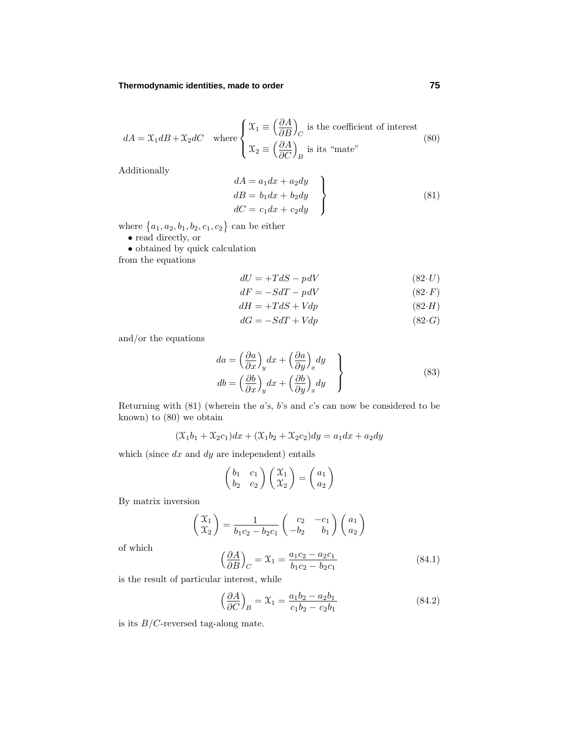# **Thermodynamic identities, made to order 75**

$$
dA = \mathfrak{X}_1 dB + \mathfrak{X}_2 dC \quad \text{where} \begin{cases} \mathfrak{X}_1 \equiv \left(\frac{\partial A}{\partial B}\right)_C \text{ is the coefficient of interest} \\ \mathfrak{X}_2 \equiv \left(\frac{\partial A}{\partial C}\right)_B \text{ is its "mate"} \end{cases} \tag{80}
$$

Additionally

$$
dA = a_1 dx + a_2 dy
$$
  
\n
$$
dB = b_1 dx + b_2 dy
$$
  
\n
$$
dC = c_1 dx + c_2 dy
$$
\n(81)

where  ${a_1, a_2, b_1, b_2, c_1, c_2}$  can be either

• read directly, or

• obtained by quick calculation

from the equations

$$
dU = +TdS - pdV \tag{82-U}
$$

$$
dF = -SdT - pdV \tag{82-F}
$$

$$
dH = +TdS + Vdp \tag{82-H}
$$

$$
dG = -SdT + Vdp \tag{82-G}
$$

and/or the equations

$$
da = \left(\frac{\partial a}{\partial x}\right)_y dx + \left(\frac{\partial a}{\partial y}\right)_x dy
$$
  
\n
$$
db = \left(\frac{\partial b}{\partial x}\right)_y dx + \left(\frac{\partial b}{\partial y}\right)_x dy
$$
\n(83)

Returning with  $(81)$  (wherein the *a*'s, *b*'s and *c*'s can now be considered to be known) to  $(80)$  we obtain

$$
(\mathfrak{X}_1 b_1 + \mathfrak{X}_2 c_1) dx + (\mathfrak{X}_1 b_2 + \mathfrak{X}_2 c_2) dy = a_1 dx + a_2 dy
$$

which (since  $dx$  and  $dy$  are independent) entails

$$
\begin{pmatrix} b_1 & c_1 \ b_2 & c_2 \end{pmatrix} \begin{pmatrix} \mathfrak{X}_1 \\ \mathfrak{X}_2 \end{pmatrix} = \begin{pmatrix} a_1 \\ a_2 \end{pmatrix}
$$

By matrix inversion

$$
\begin{pmatrix} \mathfrak{X}_1 \\ \mathfrak{X}_2 \end{pmatrix} = \frac{1}{b_1c_2 - b_2c_1} \begin{pmatrix} c_2 & -c_1 \\ -b_2 & b_1 \end{pmatrix} \begin{pmatrix} a_1 \\ a_2 \end{pmatrix}
$$

of which

$$
\left(\frac{\partial A}{\partial B}\right)_C = \mathfrak{X}_1 = \frac{a_1 c_2 - a_2 c_1}{b_1 c_2 - b_2 c_1} \tag{84.1}
$$

is the result of particular interest, while

$$
\left(\frac{\partial A}{\partial C}\right)_B = \mathcal{X}_1 = \frac{a_1 b_2 - a_2 b_1}{c_1 b_2 - c_2 b_1} \tag{84.2}
$$

is its *B/C*-reversed tag-along mate.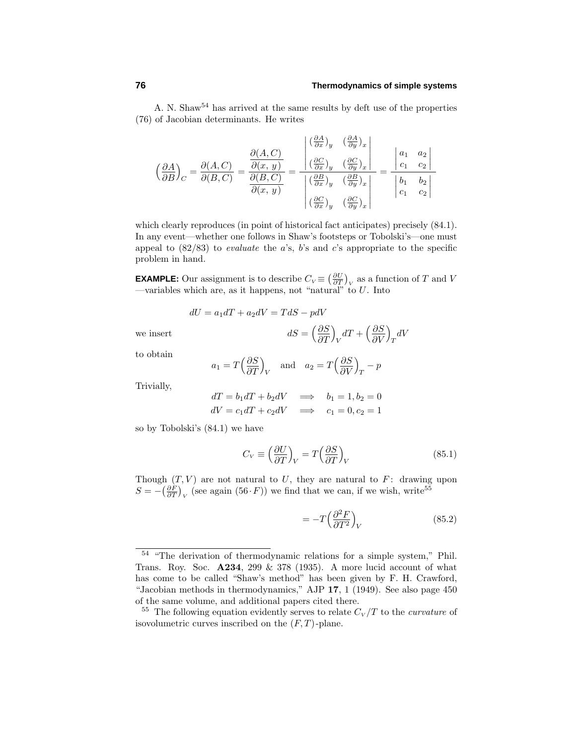A. N. Shaw<sup>54</sup> has arrived at the same results by deft use of the properties (76) of Jacobian determinants. He writes

$$
\left(\frac{\partial A}{\partial B}\right)_C = \frac{\partial(A, C)}{\partial(B, C)} = \frac{\frac{\partial(A, C)}{\partial(x, y)}}{\frac{\partial(B, C)}{\partial(x, y)}} = \frac{\begin{vmatrix} \left(\frac{\partial A}{\partial x}\right)_y & \left(\frac{\partial A}{\partial y}\right)_x \\ \left(\frac{\partial C}{\partial x}\right)_y & \left(\frac{\partial C}{\partial y}\right)_x \end{vmatrix}}{\begin{vmatrix} \left(\frac{\partial B}{\partial x}\right)_y & \left(\frac{\partial B}{\partial y}\right)_x \\ \left(\frac{\partial B}{\partial x}\right)_y & \left(\frac{\partial B}{\partial y}\right)_x \end{vmatrix}} = \frac{\begin{vmatrix} a_1 & a_2 \\ c_1 & c_2 \end{vmatrix}}{\begin{vmatrix} b_1 & b_2 \\ c_1 & c_2 \end{vmatrix}}
$$

which clearly reproduces (in point of historical fact anticipates) precisely  $(84.1)$ . In any event—whether one follows in Shaw's footsteps or Tobolski's—one must appeal to  $(82/83)$  to *evaluate* the *a*'s, *b*'s and *c*'s appropriate to the specific problem in hand.

**EXAMPLE:** Our assignment is to describe  $C_V \equiv \left(\frac{\partial U}{\partial T}\right)_V$  as a function of *T* and *V* —variables which are, as it happens, not "natural" to  $U$ . Into

$$
dU = a_1 dT + a_2 dV = TdS - pdV
$$

 $we insert$ 

to obtain

$$
a_1 = T\left(\frac{\partial S}{\partial T}\right)_V
$$
 and  $a_2 = T\left(\frac{\partial S}{\partial V}\right)_T - p$ 

-*∂S ∂T*  $\setminus$ 

Trivially,

$$
dT = b_1 dT + b_2 dV \implies b_1 = 1, b_2 = 0
$$
  

$$
dV = c_1 dT + c_2 dV \implies c_1 = 0, c_2 = 1
$$

so by Tobolski's  $(84.1)$  we have

$$
C_V \equiv \left(\frac{\partial U}{\partial T}\right)_V = T\left(\frac{\partial S}{\partial T}\right)_V\tag{85.1}
$$

 $V$ <sup>dT</sup> +  $\left(\frac{\partial S}{\partial V}\right)$ *∂V*  $\setminus$  $T$ <sup>*dV*</sup>

Though  $(T, V)$  are not natural to  $U$ , they are natural to  $F$ : drawing upon  $S = -\left(\frac{\partial F}{\partial T}\right)_V$  (see again (56 *· F*)) we find that we can, if we wish, write<sup>55</sup>

$$
= -T \left(\frac{\partial^2 F}{\partial T^2}\right)_V \tag{85.2}
$$

<sup>&</sup>lt;sup>54</sup> "The derivation of thermodynamic relations for a simple system," Phil. Trans. Roy. Soc. **A234**, 299 & 378 (1935). A more lucid account of what has come to be called "Shaw's method" has been given by F. H. Crawford, "Jacobian methods in thermodynamics," AJP **17**, 1 (1949). See also page 450 of the same volume, and additional papers cited there.

<sup>&</sup>lt;sup>55</sup> The following equation evidently serves to relate  $C_V/T$  to the *curvature* of isovolumetric curves inscribed on the (*F, T*)-plane.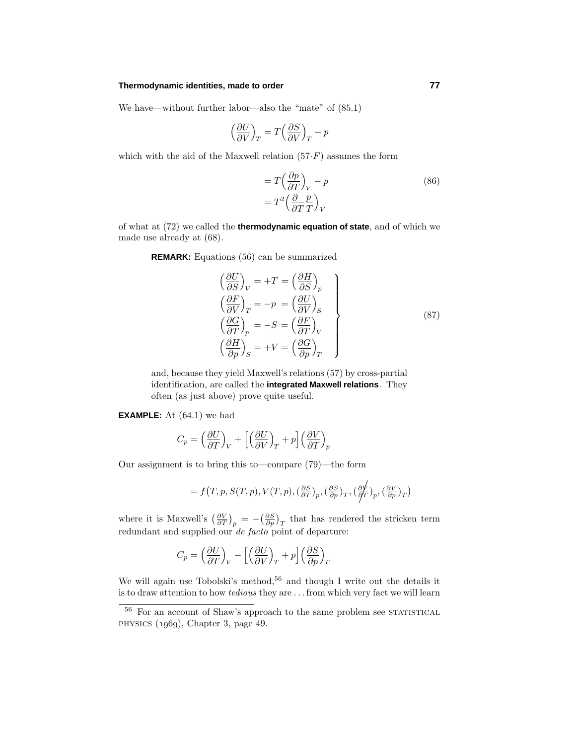#### **Thermodynamic identities, made to order 77**

We have—without further labor—also the "mate" of (85.1)

$$
\Big(\frac{\partial U}{\partial V}\Big)_T=T\Big(\frac{\partial S}{\partial V}\Big)_T-p
$$

which with the aid of the Maxwell relation  $(57 \cdot F)$  assumes the form

$$
= T\left(\frac{\partial p}{\partial T}\right)_V - p
$$
  
=  $T^2 \left(\frac{\partial}{\partial T} \frac{p}{T}\right)_V$  (86)

of what at (72) we called the **thermodynamic equation of state**, and of which we made use already at (68).

**REMARK:** Equations (56) can be summarized

$$
\begin{aligned}\n\left(\frac{\partial U}{\partial S}\right)_V &= +T = \left(\frac{\partial H}{\partial S}\right)_p \\
\left(\frac{\partial F}{\partial V}\right)_T &= -p = \left(\frac{\partial U}{\partial V}\right)_S \\
\left(\frac{\partial G}{\partial T}\right)_p &= -S = \left(\frac{\partial F}{\partial T}\right)_V \\
\left(\frac{\partial H}{\partial p}\right)_S &= +V = \left(\frac{\partial G}{\partial p}\right)_T\n\end{aligned}
$$
\n(87)

and, because they yield Maxwell's relations (57) by cross-partial identification, are called the **integrated Maxwell relations**. They often (as just above) prove quite useful.

**EXAMPLE:** At  $(64.1)$  we had

$$
C_p = \left(\frac{\partial U}{\partial T}\right)_V + \left[\left(\frac{\partial U}{\partial V}\right)_T + p\right] \left(\frac{\partial V}{\partial T}\right)_p
$$

Our assignment is to bring this to—compare (79)—the form

$$
= f(T, p, S(T, p), V(T, p), \left(\frac{\partial S}{\partial T}\right)_p, \left(\frac{\partial S}{\partial p}\right)_T, \left(\frac{\partial V}{\partial T}\right)_p, \left(\frac{\partial V}{\partial p}\right)_T)
$$

where it is Maxwell's  $\left(\frac{\partial V}{\partial T}\right)_p = -\left(\frac{\partial S}{\partial p}\right)_T$  that has rendered the stricken term redundant and supplied our *de facto* point of departure:

$$
C_p = \left(\frac{\partial U}{\partial T}\right)_V - \left[\left(\frac{\partial U}{\partial V}\right)_T + p\right] \left(\frac{\partial S}{\partial p}\right)_T
$$

We will again use Tobolski's method,<sup>56</sup> and though I write out the details it is to draw attention to how tedious they are *...* from which very fact we will learn

 $56\,$  For an account of Shaw's approach to the same problem see STATISTICAL PHYSICS  $(1969)$ , Chapter 3, page 49.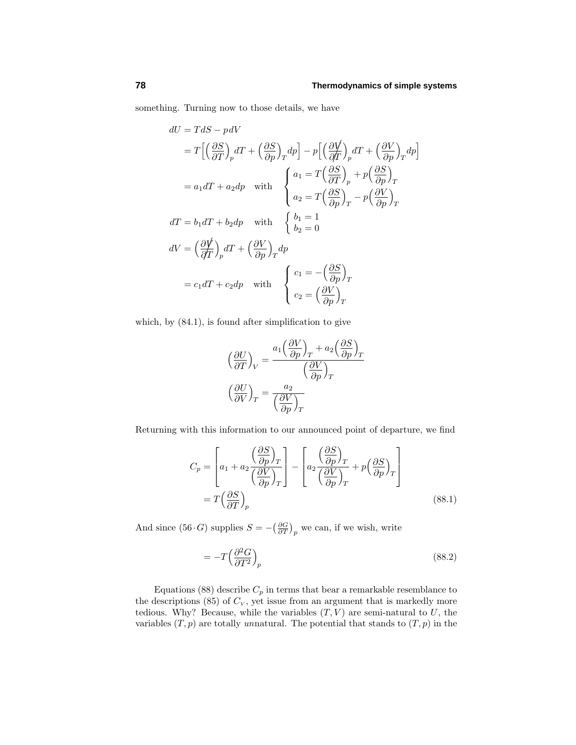something. Turning now to those details, we have

$$
dU = TdS - pdV
$$
  
\n
$$
= T\left[\left(\frac{\partial S}{\partial T}\right)_p dT + \left(\frac{\partial S}{\partial p}\right)_T dp\right] - p\left[\left(\frac{\partial V}{\partial T}\right)_p dT + \left(\frac{\partial V}{\partial p}\right)_T dp\right]
$$
  
\n
$$
= a_1 dT + a_2 dp \text{ with } \begin{cases} a_1 = T\left(\frac{\partial S}{\partial T}\right)_p + p\left(\frac{\partial S}{\partial p}\right)_T \\ a_2 = T\left(\frac{\partial S}{\partial p}\right)_T - p\left(\frac{\partial V}{\partial p}\right)_T \end{cases}
$$
  
\n
$$
dT = b_1 dT + b_2 dp \text{ with } \begin{cases} b_1 = 1 \\ b_2 = 0 \end{cases}
$$
  
\n
$$
dV = \left(\frac{\partial V}{\partial T}\right)_p dT + \left(\frac{\partial V}{\partial p}\right)_T dp
$$
  
\n
$$
= c_1 dT + c_2 dp \text{ with } \begin{cases} c_1 = -\left(\frac{\partial S}{\partial p}\right)_T \\ c_2 = \left(\frac{\partial V}{\partial p}\right)_T \end{cases}
$$

which, by (84.1), is found after simplification to give

$$
\left(\frac{\partial U}{\partial T}\right)_V = \frac{a_1 \left(\frac{\partial V}{\partial p}\right)_T + a_2 \left(\frac{\partial S}{\partial p}\right)_T}{\left(\frac{\partial V}{\partial p}\right)_T}
$$

$$
\left(\frac{\partial U}{\partial V}\right)_T = \frac{a_2}{\left(\frac{\partial V}{\partial p}\right)_T}
$$

Returning with this information to our announced point of departure, we find

$$
C_p = \left[a_1 + a_2 \frac{\left(\frac{\partial S}{\partial p}\right)_T}{\left(\frac{\partial V}{\partial p}\right)_T}\right] - \left[a_2 \frac{\left(\frac{\partial S}{\partial p}\right)_T}{\left(\frac{\partial V}{\partial p}\right)_T} + p\left(\frac{\partial S}{\partial p}\right)_T\right]
$$
  
=  $T\left(\frac{\partial S}{\partial T}\right)_p$  (88.1)

And since (56 $\cdot$ *G*) supplies  $S = -\left(\frac{\partial G}{\partial T}\right)_p$  we can, if we wish, write

$$
=-T\left(\frac{\partial^2 G}{\partial T^2}\right)_p\tag{88.2}
$$

Equations (88) describe  $C_p$  in terms that bear a remarkable resemblance to the descriptions  $(85)$  of  $C_V$ , yet issue from an argument that is markedly more tedious. Why? Because, while the variables  $(T, V)$  are semi-natural to  $U$ , the variables  $(T, p)$  are totally unnatural. The potential that stands to  $(T, p)$  in the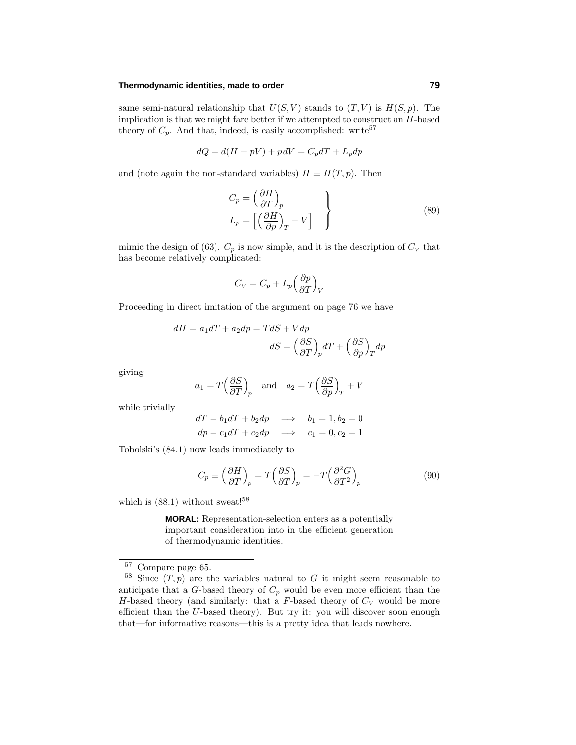#### **Thermodynamic identities, made to order 79**

same semi-natural relationship that  $U(S, V)$  stands to  $(T, V)$  is  $H(S, p)$ . The implication is that we might fare better if we attempted to construct an *H*-based theory of  $C_p$ . And that, indeed, is easily accomplished: write<sup>57</sup>

$$
dQ = d(H - pV) + pdV = C_p dT + L_p dp
$$

and (note again the non-standard variables)  $H \equiv H(T, p)$ . Then

$$
C_p = \left(\frac{\partial H}{\partial T}\right)_p
$$
  
\n
$$
L_p = \left[\left(\frac{\partial H}{\partial p}\right)_T - V\right]
$$
\n(89)

mimic the design of (63).  $C_p$  is now simple, and it is the description of  $C_V$  that has become relatively complicated:

$$
C_V = C_p + L_p \left(\frac{\partial p}{\partial T}\right)_V
$$

Proceeding in direct imitation of the argument on page 76 we have

$$
dH = a_1 dT + a_2 dp = TdS + Vdp
$$

$$
dS = \left(\frac{\partial S}{\partial T}\right)_p dT + \left(\frac{\partial S}{\partial p}\right)_T dp
$$

giving

$$
a_1 = T\left(\frac{\partial S}{\partial T}\right)_p
$$
 and  $a_2 = T\left(\frac{\partial S}{\partial p}\right)_T + V$ 

while trivially

$$
dT = b_1 dT + b_2 dp \implies b_1 = 1, b_2 = 0
$$
  

$$
dp = c_1 dT + c_2 dp \implies c_1 = 0, c_2 = 1
$$

Tobolski's  $(84.1)$  now leads immediately to

$$
C_p \equiv \left(\frac{\partial H}{\partial T}\right)_p = T\left(\frac{\partial S}{\partial T}\right)_p = -T\left(\frac{\partial^2 G}{\partial T^2}\right)_p\tag{90}
$$

which is  $(88.1)$  without sweat!<sup>58</sup>

**MORAL:** Representation-selection enters as a potentially important consideration into in the efficient generation of thermodynamic identities.

<sup>57</sup> Compare page 65.

 $58$  Since  $(T, p)$  are the variables natural to  $G$  it might seem reasonable to anticipate that a  $G$ -based theory of  $C_p$  would be even more efficient than the *H*-based theory (and similarly: that a *F*-based theory of  $C_V$  would be more efficient than the *U*-based theory). But try it: you will discover soon enough that—for informative reasons—this is a pretty idea that leads nowhere.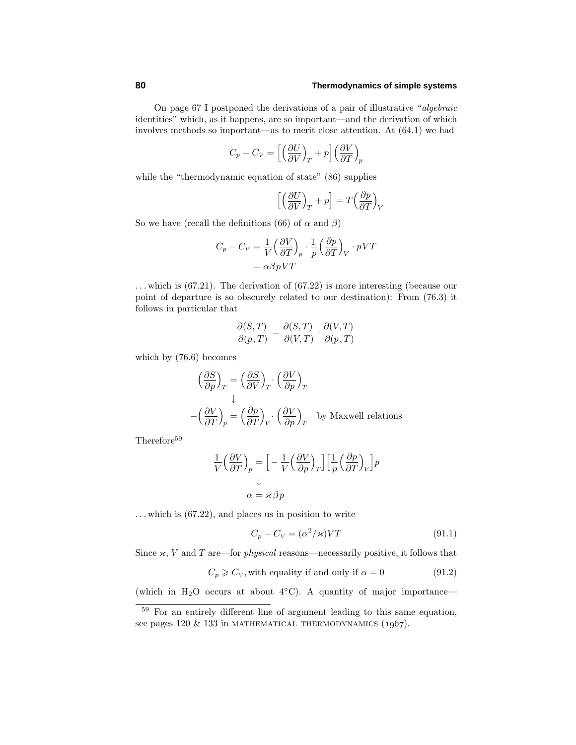On page 67 I postponed the derivations of a pair of illustrative "algebraic identities" which, as it happens, are so important—and the derivation of which involves methods so important—as to merit close attention. At  $(64.1)$  we had

$$
C_p - C_V = \left[ \left( \frac{\partial U}{\partial V} \right)_T + p \right] \left( \frac{\partial V}{\partial T} \right)_p
$$

while the "thermodynamic equation of state"  $(86)$  supplies

$$
\left[ \left( \frac{\partial U}{\partial V} \right)_T + p \right] = T \left( \frac{\partial p}{\partial T} \right)_V
$$

So we have (recall the definitions (66) of  $\alpha$  and  $\beta$ )

$$
C_p - C_V = \frac{1}{V} \left(\frac{\partial V}{\partial T}\right)_p \cdot \frac{1}{p} \left(\frac{\partial p}{\partial T}\right)_V \cdot pVT
$$

$$
= \alpha \beta pVT
$$

*...* which is (67.21). The derivation of (67.22) is more interesting (because our point of departure is so obscurely related to our destination): From (76.3) it follows in particular that

$$
\frac{\partial(S,T)}{\partial(p,T)} = \frac{\partial(S,T)}{\partial(V,T)} \cdot \frac{\partial(V,T)}{\partial(p,T)}
$$

which by  $(76.6)$  becomes

$$
\left(\frac{\partial S}{\partial p}\right)_T = \left(\frac{\partial S}{\partial V}\right)_T \cdot \left(\frac{\partial V}{\partial p}\right)_T
$$
  

$$
-\left(\frac{\partial V}{\partial T}\right)_p = \left(\frac{\partial p}{\partial T}\right)_V \cdot \left(\frac{\partial V}{\partial p}\right)_T \text{ by Maxwell relations}
$$

Therefore<sup>59</sup>

$$
\frac{1}{V} \left( \frac{\partial V}{\partial T} \right)_p = \left[ -\frac{1}{V} \left( \frac{\partial V}{\partial p} \right)_T \right] \left[ \frac{1}{p} \left( \frac{\partial p}{\partial T} \right)_V \right] p
$$

$$
\downarrow
$$

$$
\alpha = \varkappa \beta p
$$

*...* which is (67.22), and places us in position to write

$$
C_p - C_V = (\alpha^2 / \varkappa) VT \tag{91.1}
$$

Since  $\varkappa$ , *V* and *T* are—for *physical* reasons—necessarily positive, it follows that

 $C_p \geqslant C_V$ , with equality if and only if  $\alpha = 0$  (91*.*2)

(which in H<sub>2</sub>O occurs at about  $4°C$ ). A quantity of major importance—

<sup>59</sup> For an entirely different line of argument leading to this same equation, see pages 120  $\&$  133 in MATHEMATICAL THERMODYNAMICS (1967).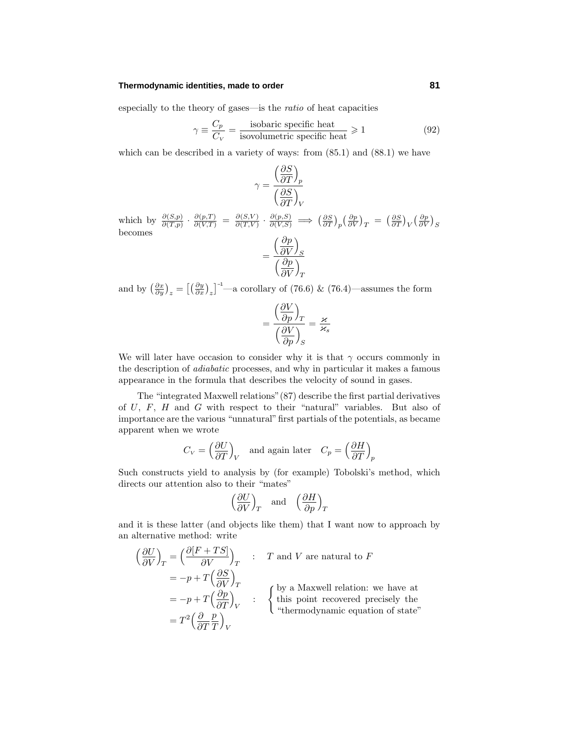#### **Thermodynamic identities, made to order 81**

especially to the theory of gases—is the ratio of heat capacities

$$
\gamma \equiv \frac{C_p}{C_V} = \frac{\text{isobaric specific heat}}{\text{isovolumetric specific heat}} \ge 1\tag{92}
$$

which can be described in a variety of ways: from  $(85.1)$  and  $(88.1)$  we have

*∂S*

$$
\gamma = \frac{\left(\frac{\partial S}{\partial T}\right)_p}{\left(\frac{\partial S}{\partial T}\right)_V}
$$

which by  $\frac{\partial(S,p)}{\partial(T,p)} \cdot \frac{\partial(p,T)}{\partial(V,T)} = \frac{\partial(S,V)}{\partial(T,V)} \cdot \frac{\partial(p,S)}{\partial(V,S)} \implies (\frac{\partial S}{\partial T})_p \left(\frac{\partial p}{\partial V}\right)_T = (\frac{\partial S}{\partial T})_V \left(\frac{\partial p}{\partial V}\right)_S$ <br>becomes

$$
=\frac{\left(\frac{\partial p}{\partial V}\right)_S}{\left(\frac{\partial p}{\partial V}\right)_T}
$$

and by  $\left(\frac{\partial x}{\partial y}\right)_z = \left[\left(\frac{\partial y}{\partial x}\right)_z\right]^{-1}$ —a corollary of (76.6) & (76.4)—assumes the form

$$
=\frac{\left(\frac{\partial V}{\partial p}\right)_T}{\left(\frac{\partial V}{\partial p}\right)_S}=\frac{\varkappa}{\varkappa_s}
$$

We will later have occasion to consider why it is that  $\gamma$  occurs commonly in the description of adiabatic processes, and why in particular it makes a famous appearance in the formula that describes the velocity of sound in gases.

The "integrated Maxwell relations" $(87)$  describe the first partial derivatives of *U*, *F*, *H* and *G* with respect to their "natural" variables. But also of importance are the various "unnatural" first partials of the potentials, as became apparent when we wrote

$$
C_V = \left(\frac{\partial U}{\partial T}\right)_V \quad \text{and again later} \quad C_p = \left(\frac{\partial H}{\partial T}\right)_p
$$

Such constructs yield to analysis by (for example) Tobolski's method, which directs our attention also to their "mates"

$$
\left(\frac{\partial U}{\partial V}\right)_T
$$
 and  $\left(\frac{\partial H}{\partial p}\right)_T$ 

and it is these latter (and objects like them) that I want now to approach by an alternative method: write

$$
\left(\frac{\partial U}{\partial V}\right)_T = \left(\frac{\partial [F + TS]}{\partial V}\right)_T : T \text{ and } V \text{ are natural to } F
$$
  
=  $-p + T \left(\frac{\partial S}{\partial V}\right)_T$   
=  $-p + T \left(\frac{\partial p}{\partial T}\right)_V : \begin{cases} \text{by a Maxwell relation: we have at} \\ \text{this point recovered precisely the} \\ \text{``thermodynamic equation of state''} \end{cases}$   
=  $T^2 \left(\frac{\partial}{\partial T} \frac{p}{T}\right)_V$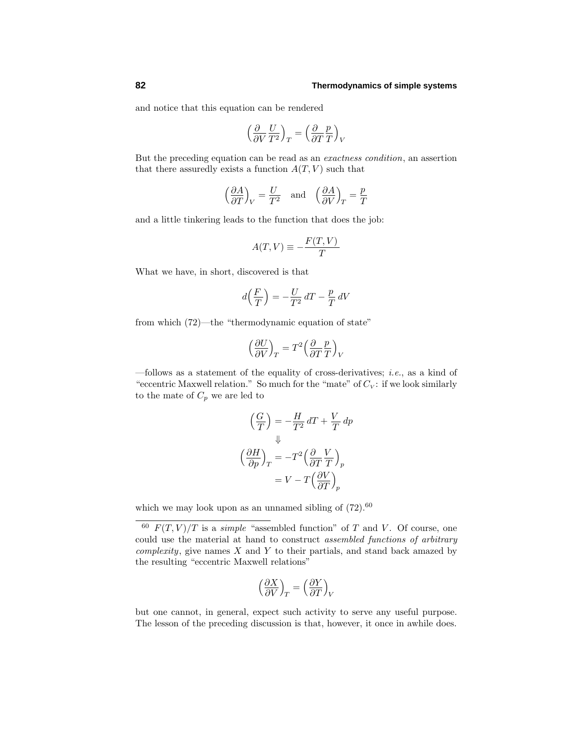and notice that this equation can be rendered

$$
\Bigl({\partial\over\partial V}{U\over T^2}\Bigr)_T=\Bigl({\partial\over\partial T}{p\over T}\Bigr)_V
$$

But the preceding equation can be read as an exactness condition, an assertion that there assuredly exists a function  $A(T, V)$  such that

$$
\left(\frac{\partial A}{\partial T}\right)_V = \frac{U}{T^2} \quad \text{and} \quad \left(\frac{\partial A}{\partial V}\right)_T = \frac{p}{T}
$$

and a little tinkering leads to the function that does the job:

$$
A(T, V) \equiv -\frac{F(T, V)}{T}
$$

What we have, in short, discovered is that

$$
d\left(\frac{F}{T}\right) = -\frac{U}{T^2} \, dT - \frac{p}{T} \, dV
$$

from which (72)—the "thermodynamic equation of state"

$$
\Bigl({\partial U \over \partial V}\Bigr)_T = T^2 \Bigl({\partial \over \partial T}{p \over T}\Bigr)_V
$$

 $-$ follows as a statement of the equality of cross-derivatives; *i.e.*, as a kind of "eccentric Maxwell relation." So much for the "mate" of  $C_V$ : if we look similarly to the mate of  $C_p$  we are led to

$$
\left(\frac{G}{T}\right) = -\frac{H}{T^2}dT + \frac{V}{T} dp
$$

$$
\downarrow \downarrow
$$

$$
\left(\frac{\partial H}{\partial p}\right)_T = -T^2 \left(\frac{\partial}{\partial T} \frac{V}{T}\right)_p
$$

$$
= V - T \left(\frac{\partial V}{\partial T}\right)_p
$$

which we may look upon as an unnamed sibling of  $(72)$ .<sup>60</sup>

$$
\left(\frac{\partial X}{\partial V}\right)_T = \left(\frac{\partial Y}{\partial T}\right)_V
$$

but one cannot, in general, expect such activity to serve any useful purpose. The lesson of the preceding discussion is that, however, it once in awhile does.

 $^{60}$   $F(T, V)/T$  is a *simple* "assembled function" of *T* and *V*. Of course, one could use the material at hand to construct assembled functions of arbitrary complexity, give names *X* and *Y* to their partials, and stand back amazed by the resulting "eccentric Maxwell relations"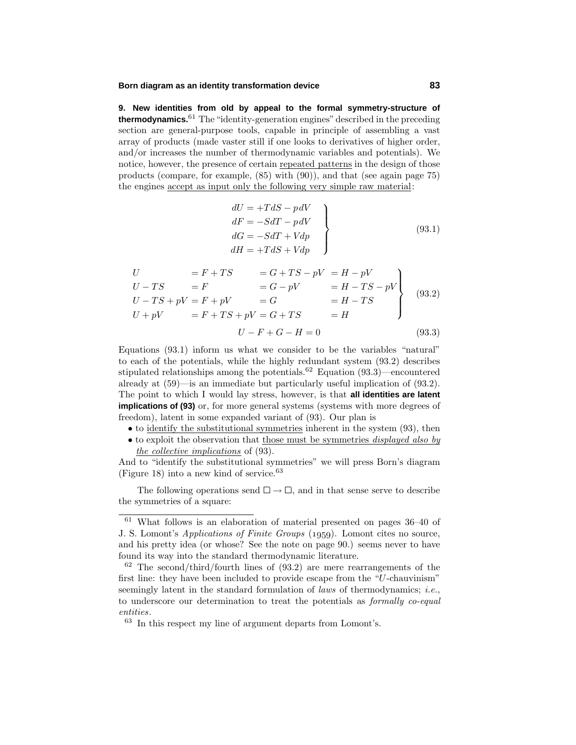### **Born diagram as an identity transformation device 83**

**9. New identities from old by appeal to the formal symmetry-structure of thermodynamics.**<sup>61</sup> The"identity-generation engines"described in the preceding section are general-purpose tools, capable in principle of assembling a vast array of products (made vaster still if one looks to derivatives of higher order, and/or increases the number of thermodynamic variables and potentials). We notice, however, the presence of certain repeated patterns in the design of those products (compare, for example, (85) with (90)), and that (see again page 75) the engines accept as input only the following very simple raw material:

$$
\begin{aligned}\ndU &= +TdS - pdV \\
dF &= -SdT - pdV \\
dG &= -SdT + Vdp \\
dH &= +TdS + Vdp\n\end{aligned}
$$
\n(93.1)

$$
U = F + TS = G + TS - pV = H - pV
$$
  
\n
$$
U - TS = F = G - pV = H - TS - pV
$$
  
\n
$$
U - TS + pV = F + pV = G
$$
  
\n
$$
U + pV = F + TS + pV = G + TS = H
$$
  
\n
$$
U - F + G - H = 0
$$
  
\n(93.3)

Equations  $(93.1)$  inform us what we consider to be the variables "natural" to each of the potentials, while the highly redundant system  $(93.2)$  describes stipulated relationships among the potentials.<sup>62</sup> Equation (93.3)—encountered already at (59)—is an immediate but particularly useful implication of (93.2). The point to which I would lay stress, however, is that **all identities are latent implications of (93)** or, for more general systems (systems with more degrees of freedom), latent in some expanded variant of (93). Our plan is

- to identify the substitutional symmetries inherent in the system (93), then
- to exploit the observation that those must be symmetries *displayed also by* the collective implications of (93).

And to "identify the substitutional symmetries" we will press Born's diagram (Figure 18) into a new kind of service. $63$ 

The following operations send  $\square \rightarrow \square$ , and in that sense serve to describe the symmetries of a square:

 $61$  What follows is an elaboration of material presented on pages  $36-40$  of J. S. Lomont's *Applications of Finite Groups* (1959). Lomont cites no source, and his pretty idea (or whose? See the note on page 90.) seems never to have found its way into the standard thermodynamic literature.

 $62$  The second/third/fourth lines of  $(93.2)$  are mere rearrangements of the first line: they have been included to provide escape from the "*U*-chauvinism" seemingly latent in the standard formulation of *laws* of thermodynamics; *i.e.*, to underscore our determination to treat the potentials as formally co-equal entities.

<sup>63</sup> In this respect my line of argument departs from Lomont's.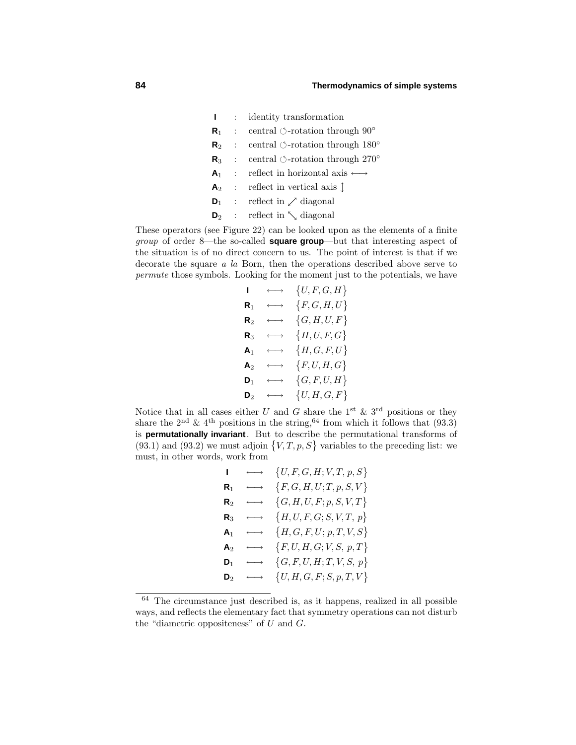**I** : identity transformation **R**<sub>1</sub> : central  $\circ$ -rotation through  $90^\circ$ **R**<sub>2</sub> : central  $\circ$ -rotation through 180 $\circ$ **R**<sub>3</sub> : central  $\circ$ -rotation through 270°  $\mathsf{A}_1$  : reflect in horizontal axis  $\longleftrightarrow$  $\mathsf{A}_2$  : reflect in vertical axis  $\updownarrow$  $\mathbf{D}_1$  : reflect in  $\nearrow$  diagonal  $\mathbf{D}_2$  : reflect in  $\setminus$  diagonal

These operators (see Figure 22) can be looked upon as the elements of a finite group of order 8—the so-called **square group**—but that interesting aspect of the situation is of no direct concern to us. The point of interest is that if we decorate the square a la Born, then the operations described above serve to permute those symbols. Looking for the moment just to the potentials, we have

| L              | $\longleftrightarrow$ | $\{U,F,G,H\}$    |
|----------------|-----------------------|------------------|
| ${\sf R}_1$    | $\longleftrightarrow$ | $\{F,G,H,U\}$    |
| $\mathsf{R}_2$ | $\longleftrightarrow$ | $\{G, H, U, F\}$ |
| $\mathsf R_3$  | $\longleftrightarrow$ | ${H, U, F, G}$   |
| A <sub>1</sub> | $\longleftrightarrow$ | $\{H,G,F,U\}$    |
| $\mathbf{A}_2$ | $\longleftrightarrow$ | $\{F, U, H, G\}$ |
| $\mathbf{D}_1$ | $\longleftrightarrow$ | $\{G, F, U, H\}$ |
| $\mathbf{D}_2$ | $\longleftrightarrow$ | $\{U,H,G,F\}$    |

Notice that in all cases either *U* and *G* share the 1<sup>st</sup> & 3<sup>rd</sup> positions or they share the 2<sup>nd</sup> & 4<sup>th</sup> positions in the string, <sup>64</sup> from which it follows that (93.3) is **permutationally invariant**. But to describe the permutational transforms of  $(93.1)$  and  $(93.2)$  we must adjoin  $\{V, T, p, S\}$  variables to the preceding list: we must, in other words, work from

| L.             | $\longleftrightarrow$ | $\{U, F, G, H; V, T, p, S\}$ |
|----------------|-----------------------|------------------------------|
| ${\sf R}_1$    | $\longleftrightarrow$ | $\{F,G,H,U;T,p,S,V\}$        |
| $\mathsf{R}_2$ | $\longleftrightarrow$ | $\{G, H, U, F; p, S, V, T\}$ |
| ${\sf R}_3$    | $\longleftrightarrow$ | $\{H, U, F, G; S, V, T, p\}$ |
| A <sub>1</sub> | $\longleftrightarrow$ | $\{H,G,F,U;p,T,V,S\}$        |
| $\mathbf{A}_2$ | $\longleftrightarrow$ | $\{F, U, H, G; V, S, p, T\}$ |
| $\mathbf{D}_1$ | $\longleftrightarrow$ | $\{G, F, U, H; T, V, S, p\}$ |
| $\mathsf D_2$  | $\longleftrightarrow$ | $\{U, H, G, F; S, p, T, V\}$ |

<sup>64</sup> The circumstance just described is, as it happens, realized in all possible ways, and reflects the elementary fact that symmetry operations can not disturb the "diametric oppositeness" of *U* and *G*.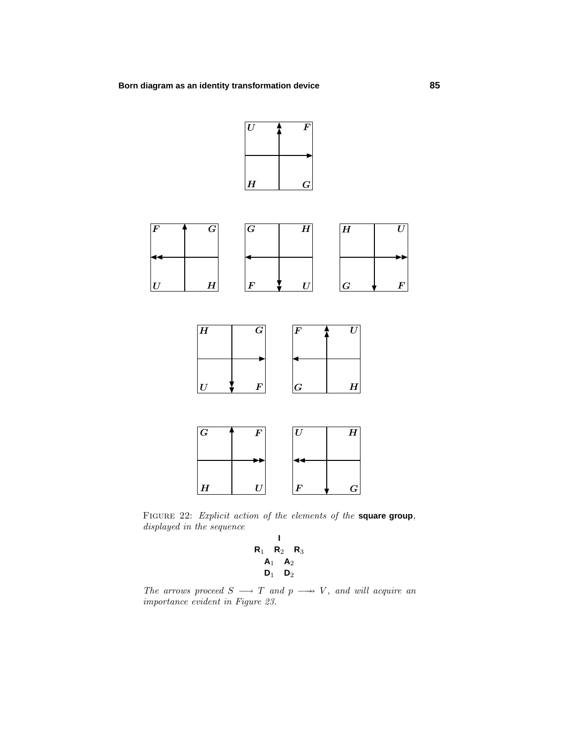*U*



Figure 22: Explicit action of the elements of the **square group**, displayed in the sequence

 $F \longrightarrow G$ 

*H U*

**I R**<sup>1</sup> **R**<sup>2</sup> **R**<sup>3</sup>  $A_1$   $A_2$  $\mathsf{D}_1$   $\mathsf{D}_2$ 

The arrows proceed  $S \longrightarrow T$  and  $p \longrightarrow V$ , and will acquire an importance evident in Figure 23.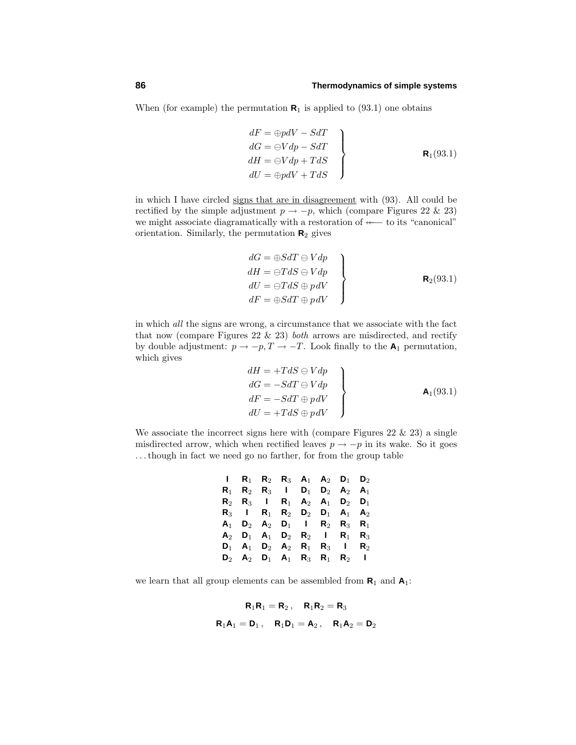When (for example) the permutation  $\mathbf{R}_1$  is applied to (93.1) one obtains

$$
dF = \bigoplus_{p} dV - SdT
$$
  
\n
$$
dG = \bigoplus_{p} V dp - SdT
$$
  
\n
$$
dH = \bigoplus_{p} V dp + TdS
$$
  
\n
$$
dU = \bigoplus_{p} p dV + TdS
$$
  
\n**R**<sub>1</sub>(93.1)

in which I have circled signs that are in disagreement with (93). All could be rectified by the simple adjustment  $p \to -p$ , which (compare Figures 22 & 23) we might associate diagramatically with a restoration of  $\leftarrow$  to its "canonical" orientation. Similarly, the permutation **R**<sup>2</sup> gives

$$
dG = \bigoplus SdT \ominus Vdp
$$
  
\n
$$
dH = \bigoplus TdS \ominus Vdp
$$
  
\n
$$
dU = \bigoplus TdS \oplus pdV
$$
  
\n
$$
dF = \bigoplus SdT \oplus pdV
$$
  
\n**R**<sub>2</sub>(93.1)

in which all the signs are wrong, a circumstance that we associate with the fact that now (compare Figures 22  $\&$  23) both arrows are misdirected, and rectify by double adjustment:  $p \to -p, T \to -T$ . Look finally to the **A**<sub>1</sub> permutation, which gives

$$
dH = +T dS \ominus V dp
$$
  
\n
$$
dG = -S dT \ominus V dp
$$
  
\n
$$
dF = -S dT \oplus p dV
$$
  
\n
$$
dU = +T dS \oplus p dV
$$
  
\n**A**<sub>1</sub>(93.1)

We associate the incorrect signs here with (compare Figures  $22 \& 23$ ) a single misdirected arrow, which when rectified leaves  $p \to -p$  in its wake. So it goes *...*though in fact we need go no farther, for from the group table

| <b>I R</b> <sub>1</sub> <b>R</b> <sub>2</sub> <b>R</b> <sub>3</sub> <b>A</b> <sub>1</sub> <b>A</b> <sub>2</sub> <b>D</b> <sub>1</sub> <b>D</b> <sub>2</sub> |  |  |                |
|-------------------------------------------------------------------------------------------------------------------------------------------------------------|--|--|----------------|
| <b>R<sub>1</sub> R<sub>2</sub> R<sub>3</sub> l D<sub>1</sub> D<sub>2</sub> A</b> <sub>2</sub> <b>A</b> <sub>1</sub>                                         |  |  |                |
| $R_2$ $R_3$   $R_1$ $A_2$ $A_1$ $D_2$ $D_1$                                                                                                                 |  |  |                |
| <b>R<sub>3</sub> I R<sub>1</sub> R<sub>2</sub> D<sub>2</sub> D<sub>1</sub> A<sub>1</sub> A</b> <sub>2</sub>                                                 |  |  |                |
| $A_1$ $D_2$ $A_2$ $D_1$   $R_2$ $R_3$ $R_1$                                                                                                                 |  |  |                |
| $A_2$ $D_1$ $A_1$ $D_2$ $R_2$ l $R_1$ $R_3$                                                                                                                 |  |  |                |
| $D_1$ A <sub>1</sub> D <sub>2</sub> A <sub>2</sub> R <sub>1</sub> R <sub>3</sub> I                                                                          |  |  | $\mathbf{R}_2$ |
| $D_2$ A <sub>2</sub> D <sub>1</sub> A <sub>1</sub> R <sub>3</sub> R <sub>1</sub> R <sub>2</sub> I                                                           |  |  |                |

we learn that all group elements can be assembled from  $\mathbf{R}_1$  and  $\mathbf{A}_1$ :

$$
\begin{array}{cccc}\n & R_1R_1 = R_2, & R_1R_2 = R_3 \\
 & R_1A_1 = D_1, & R_1D_1 = A_2, & R_1A_2 = D_2\n\end{array}
$$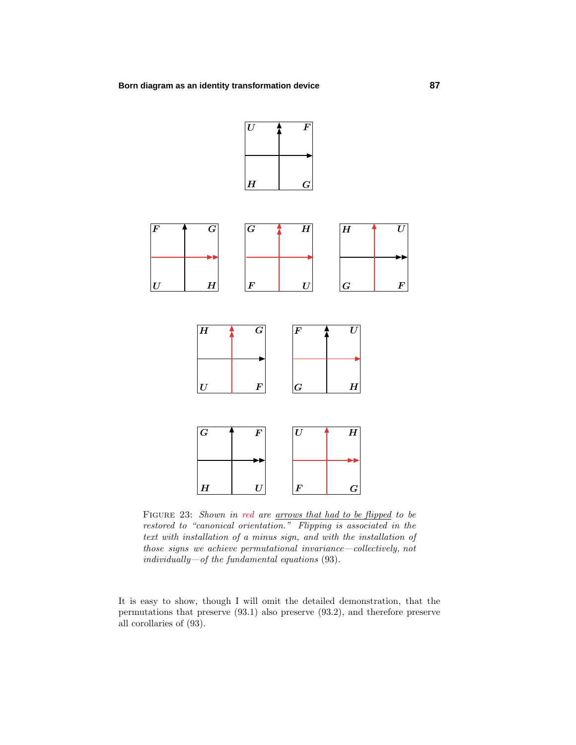

FIGURE 23: Shown in red are <u>arrows that had to be flipped</u> to be restored to "canonical orientation." Flipping is associated in the text with installation of a minus sign, and with the installation of those signs we achieve permutational invariance—collectively, not individually—of the fundamental equations (93).

It is easy to show, though I will omit the detailed demonstration, that the permutations that preserve (93.1) also preserve (93.2), and therefore preserve all corollaries of (93).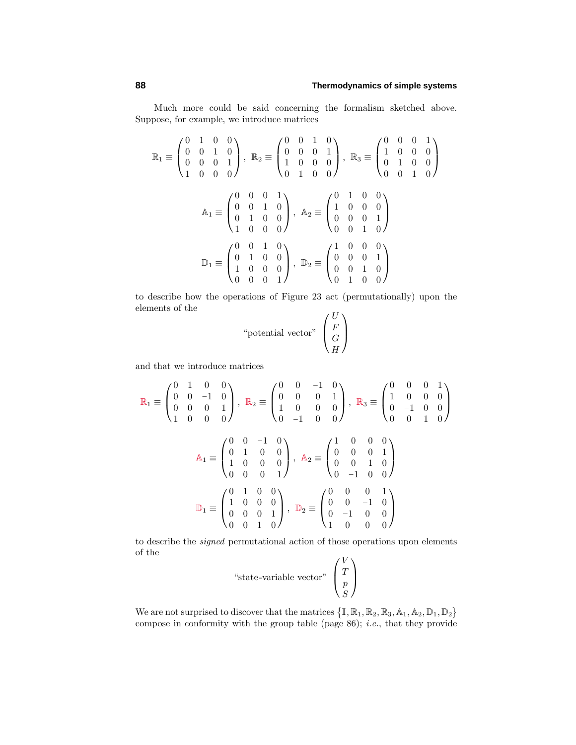Much more could be said concerning the formalism sketched above. Suppose, for example, we introduce matrices

$$
\mathbb{R}_1 \equiv \begin{pmatrix} 0 & 1 & 0 & 0 \\ 0 & 0 & 1 & 0 \\ 0 & 0 & 0 & 1 \\ 1 & 0 & 0 & 0 \end{pmatrix}, \ \mathbb{R}_2 \equiv \begin{pmatrix} 0 & 0 & 1 & 0 \\ 0 & 0 & 0 & 1 \\ 1 & 0 & 0 & 0 \\ 0 & 1 & 0 & 0 \end{pmatrix}, \ \mathbb{R}_3 \equiv \begin{pmatrix} 0 & 0 & 0 & 1 \\ 1 & 0 & 0 & 0 \\ 0 & 1 & 0 & 0 \\ 0 & 0 & 1 & 0 \end{pmatrix}
$$

$$
\mathbb{A}_1 \equiv \begin{pmatrix} 0 & 0 & 0 & 1 \\ 0 & 0 & 1 & 0 \\ 0 & 1 & 0 & 0 \\ 1 & 0 & 0 & 0 \end{pmatrix}, \ \mathbb{A}_2 \equiv \begin{pmatrix} 0 & 1 & 0 & 0 \\ 1 & 0 & 0 & 0 \\ 0 & 0 & 0 & 1 \\ 0 & 0 & 1 & 0 \end{pmatrix}
$$

$$
\mathbb{D}_1 \equiv \begin{pmatrix} 0 & 0 & 1 & 0 \\ 0 & 1 & 0 & 0 \\ 1 & 0 & 0 & 0 \\ 0 & 0 & 0 & 1 \end{pmatrix}, \ \mathbb{D}_2 \equiv \begin{pmatrix} 1 & 0 & 0 & 0 \\ 0 & 0 & 0 & 1 \\ 0 & 0 & 1 & 0 \\ 0 & 1 & 0 & 0 \end{pmatrix}
$$

to describe how the operations of Figure 23 act (permutationally) upon the elements of the  $U$ 

"potential vector" 
$$
\begin{pmatrix} U \\ F \\ G \\ H \end{pmatrix}
$$

and that we introduce matrices

$$
\mathbb{R}_{1} \equiv \begin{pmatrix} 0 & 1 & 0 & 0 \\ 0 & 0 & -1 & 0 \\ 0 & 0 & 0 & 1 \\ 1 & 0 & 0 & 0 \end{pmatrix}, \ \mathbb{R}_{2} \equiv \begin{pmatrix} 0 & 0 & -1 & 0 \\ 0 & 0 & 0 & 1 \\ 1 & 0 & 0 & 0 \\ 0 & -1 & 0 & 0 \end{pmatrix}, \ \mathbb{R}_{3} \equiv \begin{pmatrix} 0 & 0 & 0 & 1 \\ 1 & 0 & 0 & 0 \\ 0 & -1 & 0 & 0 \\ 0 & 0 & 1 & 0 \end{pmatrix}
$$

$$
\mathbb{A}_{1} \equiv \begin{pmatrix} 0 & 0 & -1 & 0 \\ 0 & 1 & 0 & 0 \\ 1 & 0 & 0 & 0 \\ 0 & 0 & 0 & 1 \end{pmatrix}, \ \mathbb{A}_{2} \equiv \begin{pmatrix} 1 & 0 & 0 & 0 \\ 0 & 0 & 0 & 1 \\ 0 & 0 & 1 & 0 \\ 0 & -1 & 0 & 0 \end{pmatrix}
$$

$$
\mathbb{D}_{1} \equiv \begin{pmatrix} 0 & 1 & 0 & 0 \\ 1 & 0 & 0 & 0 \\ 0 & 0 & 0 & 1 \\ 0 & 0 & 1 & 0 \end{pmatrix}, \ \mathbb{D}_{2} \equiv \begin{pmatrix} 0 & 0 & 0 & 1 \\ 0 & 0 & -1 & 0 \\ 0 & -1 & 0 & 0 \\ 1 & 0 & 0 & 0 \end{pmatrix}
$$

to describe the signed permutational action of those operations upon elements of the

"state-variable vector" 
$$
\begin{pmatrix} V \\ T \\ p \\ S \end{pmatrix}
$$

We are not surprised to discover that the matrices  $\{1, \mathbb{R}_1, \mathbb{R}_2, \mathbb{R}_3, \mathbb{A}_1, \mathbb{A}_2, \mathbb{D}_1, \mathbb{D}_2\}$ compose in conformity with the group table (page 86); i.e., that they provide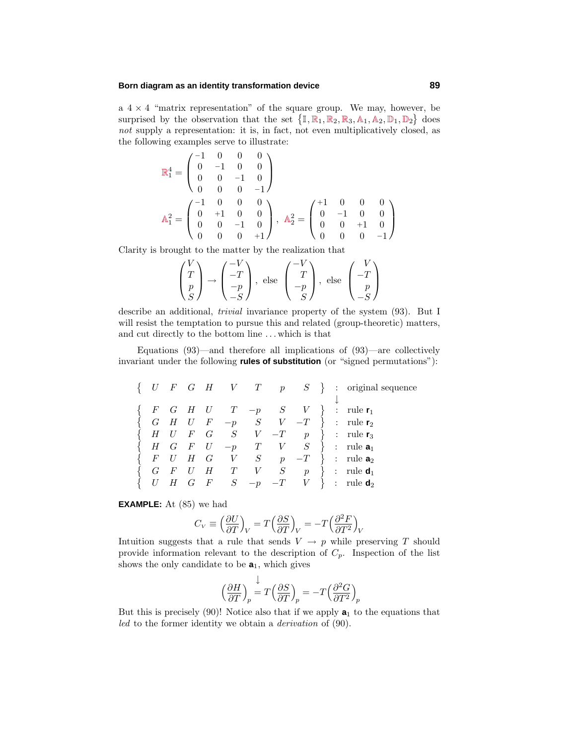#### **Born diagram as an identity transformation device 89**

a  $4 \times 4$  "matrix representation" of the square group. We may, however, be surprised by the observation that the set  $\{1, \mathbb{R}_1, \mathbb{R}_2, \mathbb{R}_3, \mathbb{A}_1, \mathbb{A}_2, \mathbb{D}_1, \mathbb{D}_2\}$  does not supply a representation: it is, in fact, not even multiplicatively closed, as the following examples serve to illustrate:

$$
\mathbb{R}_1^4 = \begin{pmatrix} -1 & 0 & 0 & 0 \\ 0 & -1 & 0 & 0 \\ 0 & 0 & -1 & 0 \\ 0 & 0 & 0 & -1 \end{pmatrix}
$$

$$
\mathbb{A}_1^2 = \begin{pmatrix} -1 & 0 & 0 & 0 \\ 0 & +1 & 0 & 0 \\ 0 & 0 & -1 & 0 \\ 0 & 0 & 0 & +1 \end{pmatrix}, \ \mathbb{A}_2^2 = \begin{pmatrix} +1 & 0 & 0 & 0 \\ 0 & -1 & 0 & 0 \\ 0 & 0 & +1 & 0 \\ 0 & 0 & 0 & -1 \end{pmatrix}
$$

Clarity is brought to the matter by the realization that

$$
\begin{pmatrix} V \\ T \\ p \\ S \end{pmatrix} \rightarrow \begin{pmatrix} -V \\ -T \\ -p \\ -S \end{pmatrix}, \text{ else } \begin{pmatrix} -V \\ T \\ -p \\ S \end{pmatrix}, \text{ else } \begin{pmatrix} V \\ -T \\ p \\ -S \end{pmatrix}
$$

describe an additional, trivial invariance property of the system (93). But I will resist the temptation to pursue this and related (group-theoretic) matters, and cut directly to the bottom line *...* which is that

Equations  $(93)$ —and therefore all implications of  $(93)$ —are collectively invariant under the following **rules of substitution** (or "signed permutations"):

|  |  |  |  |  | $\{ U \mid F \mid G \mid H \mid V \mid T \mid p \mid S \}$ : original sequence                                                   |
|--|--|--|--|--|----------------------------------------------------------------------------------------------------------------------------------|
|  |  |  |  |  |                                                                                                                                  |
|  |  |  |  |  | $F$ $G$ $H$ $U$ $T$ $-p$ $S$ $V$ $\}$ : rule $\mathbf{r}_1$<br>$G$ $H$ $U$ $F$ $-p$ $S$ $V$ $-T$ } : rule $\mathbf{r}_2$         |
|  |  |  |  |  | $H \quad U \quad F \quad G \qquad S \qquad V \quad -T \qquad p \quad \} \quad : \text{ rule } \mathbf{r}_3$                      |
|  |  |  |  |  | $\begin{cases} H & G \quad F \quad U \quad -p \quad T \quad V \quad S \end{cases}$ : rule <b>a</b> <sub>1</sub>                  |
|  |  |  |  |  | $F$ U H G V S $p$ -T } : rule $a_2$                                                                                              |
|  |  |  |  |  | $\begin{array}{ccccccccc} G & F & U & H & T & V & S & p & \end{array} \hspace{0.2cm} ; \hspace{0.3cm} \text{rule } \textbf{d}_1$ |
|  |  |  |  |  | $U \quad H \quad G \quad F \qquad S \quad -p \quad -T \qquad V \quad \} \quad : \quad \text{rule } \mathbf{d_2}$                 |
|  |  |  |  |  |                                                                                                                                  |

**EXAMPLE:** At (85) we had

$$
C_V \equiv \left(\frac{\partial U}{\partial T}\right)_V = T \left(\frac{\partial S}{\partial T}\right)_V = -T \left(\frac{\partial^2 F}{\partial T^2}\right)_V
$$

Intuition suggests that a rule that sends  $V \rightarrow p$  while preserving *T* should provide information relevant to the description of *Cp*. Inspection of the list shows the only candidate to be  $a_1$ , which gives

$$
\left(\frac{\partial H}{\partial T}\right)_p = T\left(\frac{\partial S}{\partial T}\right)_p = -T\left(\frac{\partial^2 G}{\partial T^2}\right)_p
$$

But this is precisely  $(90)!$  Notice also that if we apply  $a_1$  to the equations that led to the former identity we obtain a derivation of (90).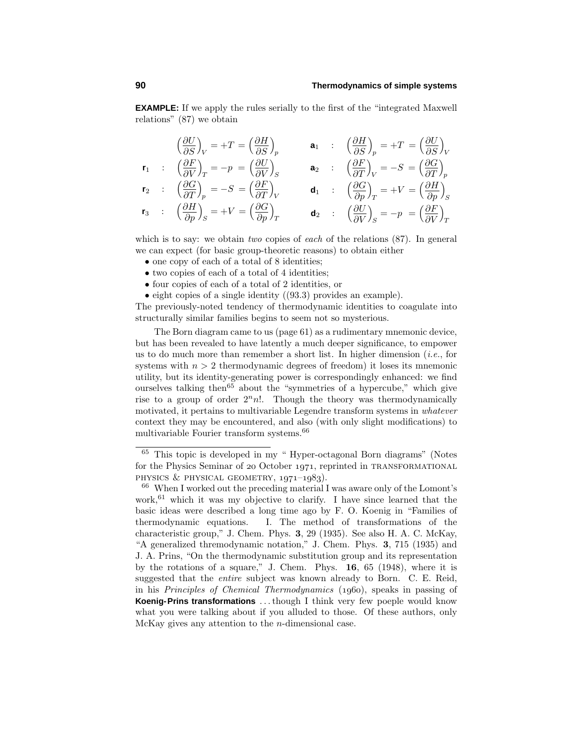**EXAMPLE:** If we apply the rules serially to the first of the "integrated Maxwell relations" (87) we obtain

$$
\left(\frac{\partial U}{\partial S}\right)_V = +T = \left(\frac{\partial H}{\partial S}\right)_p \qquad \mathbf{a}_1 \qquad : \quad \left(\frac{\partial H}{\partial S}\right)_p = +T = \left(\frac{\partial U}{\partial S}\right)_V
$$
\n
$$
\mathbf{r}_1 \qquad : \quad \left(\frac{\partial F}{\partial V}\right)_T = -p = \left(\frac{\partial U}{\partial V}\right)_S \qquad \mathbf{a}_2 \qquad : \quad \left(\frac{\partial F}{\partial T}\right)_V = -S = \left(\frac{\partial G}{\partial T}\right)_p
$$
\n
$$
\mathbf{r}_2 \qquad : \quad \left(\frac{\partial G}{\partial T}\right)_p = -S = \left(\frac{\partial F}{\partial T}\right)_V \qquad \mathbf{d}_1 \qquad : \quad \left(\frac{\partial G}{\partial p}\right)_T = +V = \left(\frac{\partial H}{\partial p}\right)_S
$$
\n
$$
\mathbf{r}_3 \qquad : \quad \left(\frac{\partial H}{\partial p}\right)_S = +V = \left(\frac{\partial G}{\partial p}\right)_T \qquad \mathbf{d}_2 \qquad : \quad \left(\frac{\partial U}{\partial V}\right)_S = -p = \left(\frac{\partial F}{\partial V}\right)_T
$$

which is to say: we obtain two copies of each of the relations  $(87)$ . In general we can expect (for basic group-theoretic reasons) to obtain either

- one copy of each of a total of 8 identities;
- two copies of each of a total of 4 identities;
- four copies of each of a total of 2 identities, or
- eight copies of a single identity ((93.3) provides an example).

The previously-noted tendency of thermodynamic identities to coagulate into structurally similar families begins to seem not so mysterious.

The Born diagram came to us (page 61) as a rudimentary mnemonic device, but has been revealed to have latently a much deeper significance, to empower us to do much more than remember a short list. In higher dimension (*i.e.*, for systems with  $n > 2$  thermodynamic degrees of freedom) it loses its mnemonic utility, but its identity-generating power is correspondingly enhanced: we find ourselves talking then<sup>65</sup> about the "symmetries of a hypercube," which give rise to a group of order  $2<sup>n</sup>n!$ . Though the theory was thermodynamically motivated, it pertains to multivariable Legendre transform systems in whatever context they may be encountered, and also (with only slight modifications) to multivariable Fourier transform systems.<sup>66</sup>

<sup>65</sup> This topic is developed in my " Hyper-octagonal Born diagrams" (Notes for the Physics Seminar of 20 October 1971, reprinted in TRANSFORMATIONAL PHYSICS  $&$  PHYSICAL GEOMETRY,  $1971-1983$ .

<sup>66</sup> When I worked out the preceding material I was aware only of the Lomont's work,<sup>61</sup> which it was my objective to clarify. I have since learned that the basic ideas were described a long time ago by F. O. Koenig in "Families of thermodynamic equations. I. The method of transformations of the characteristic group," J. Chem. Phys. **3**, 29 (1935). See also H. A. C. McKay, "A generalized thremodynamic notation," J. Chem. Phys. **3**, 715 (1935) and J. A. Prins, "On the thermodynamic substitution group and its representation by the rotations of a square," J. Chem. Phys. **16**, 65 (1948), where it is suggested that the entire subject was known already to Born. C. E. Reid, in his Principles of Chemical Thermodynamics (1960), speaks in passing of **Koenig-Prins transformations** *...*though I think very few poeple would know what you were talking about if you alluded to those. Of these authors, only McKay gives any attention to the *n*-dimensional case.